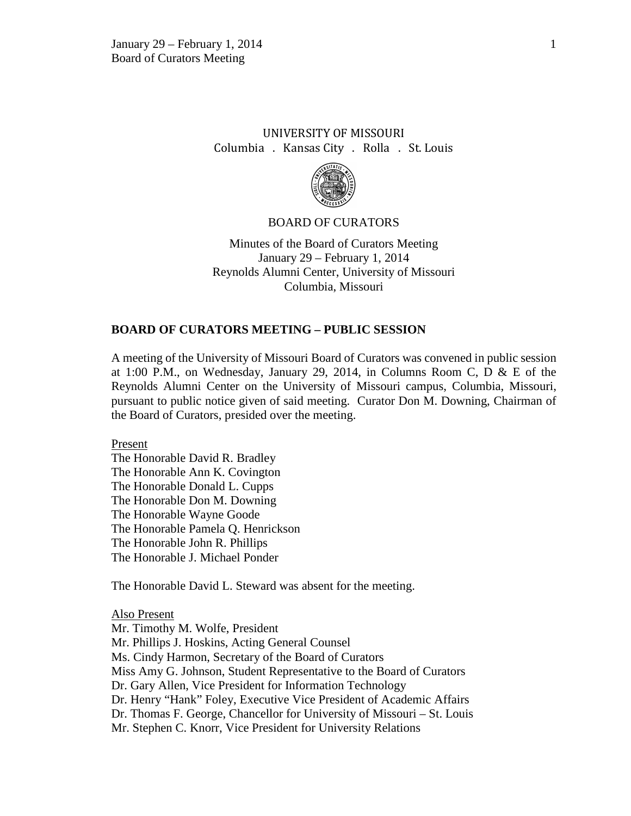## UNIVERSITY OF MISSOURI Columbia . Kansas City . Rolla . St. Louis



### BOARD OF CURATORS

Minutes of the Board of Curators Meeting January 29 – February 1, 2014 Reynolds Alumni Center, University of Missouri Columbia, Missouri

## **BOARD OF CURATORS MEETING – PUBLIC SESSION**

A meeting of the University of Missouri Board of Curators was convened in public session at 1:00 P.M., on Wednesday, January 29, 2014, in Columns Room C, D & E of the Reynolds Alumni Center on the University of Missouri campus, Columbia, Missouri, pursuant to public notice given of said meeting. Curator Don M. Downing, Chairman of the Board of Curators, presided over the meeting.

Present

The Honorable David R. Bradley The Honorable Ann K. Covington The Honorable Donald L. Cupps The Honorable Don M. Downing The Honorable Wayne Goode The Honorable Pamela Q. Henrickson The Honorable John R. Phillips The Honorable J. Michael Ponder

The Honorable David L. Steward was absent for the meeting.

Also Present Mr. Timothy M. Wolfe, President Mr. Phillips J. Hoskins, Acting General Counsel Ms. Cindy Harmon, Secretary of the Board of Curators Miss Amy G. Johnson, Student Representative to the Board of Curators Dr. Gary Allen, Vice President for Information Technology Dr. Henry "Hank" Foley, Executive Vice President of Academic Affairs Dr. Thomas F. George, Chancellor for University of Missouri – St. Louis Mr. Stephen C. Knorr, Vice President for University Relations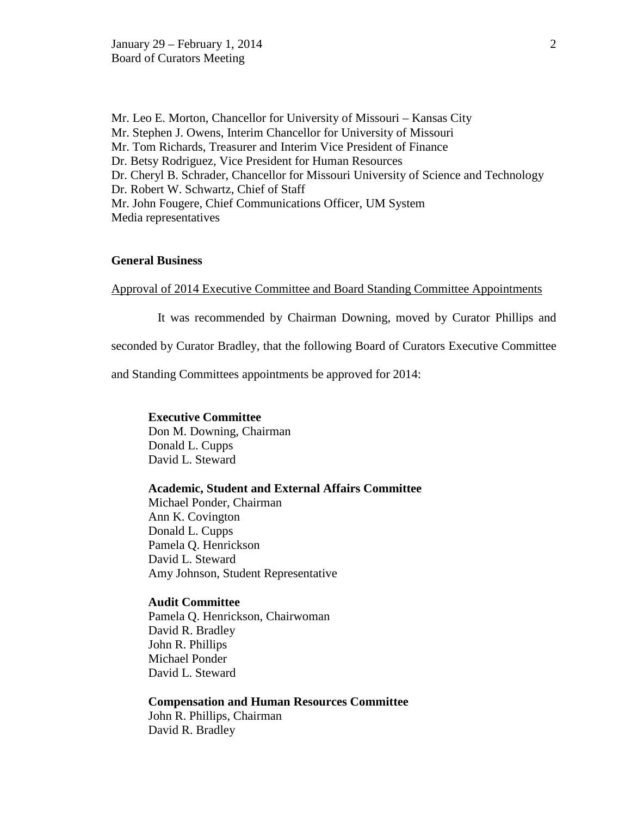Mr. Leo E. Morton, Chancellor for University of Missouri – Kansas City Mr. Stephen J. Owens, Interim Chancellor for University of Missouri Mr. Tom Richards, Treasurer and Interim Vice President of Finance Dr. Betsy Rodriguez, Vice President for Human Resources Dr. Cheryl B. Schrader, Chancellor for Missouri University of Science and Technology Dr. Robert W. Schwartz, Chief of Staff Mr. John Fougere, Chief Communications Officer, UM System Media representatives

## **General Business**

Approval of 2014 Executive Committee and Board Standing Committee Appointments

It was recommended by Chairman Downing, moved by Curator Phillips and

seconded by Curator Bradley, that the following Board of Curators Executive Committee

and Standing Committees appointments be approved for 2014:

#### **Executive Committee**

Don M. Downing, Chairman Donald L. Cupps David L. Steward

### **Academic, Student and External Affairs Committee**

Michael Ponder, Chairman Ann K. Covington Donald L. Cupps Pamela Q. Henrickson David L. Steward Amy Johnson, Student Representative

### **Audit Committee**

Pamela Q. Henrickson, Chairwoman David R. Bradley John R. Phillips Michael Ponder David L. Steward

#### **Compensation and Human Resources Committee**

John R. Phillips, Chairman David R. Bradley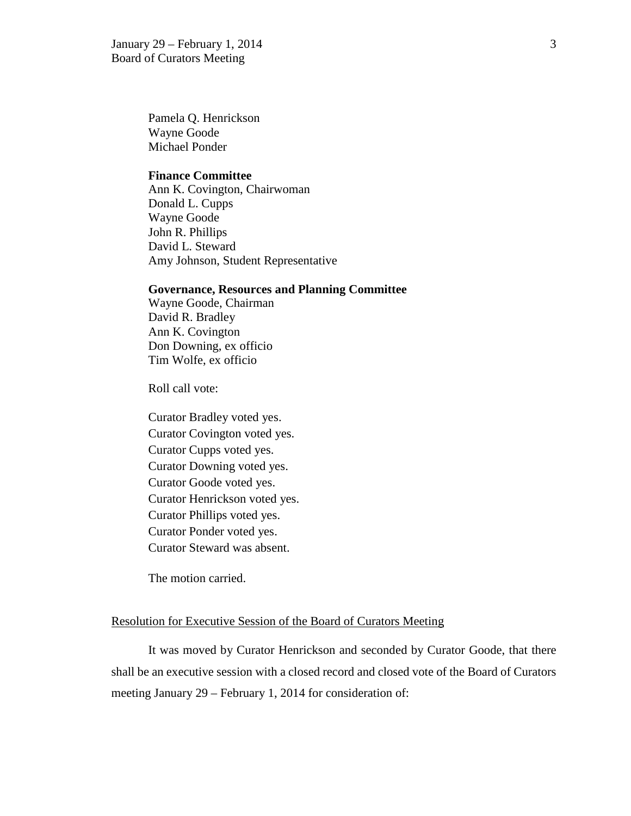January 29 – February 1, 2014  $\overline{3}$ Board of Curators Meeting

Pamela Q. Henrickson Wayne Goode Michael Ponder

#### **Finance Committee**

Ann K. Covington, Chairwoman Donald L. Cupps Wayne Goode John R. Phillips David L. Steward Amy Johnson, Student Representative

#### **Governance, Resources and Planning Committee**

Wayne Goode, Chairman David R. Bradley Ann K. Covington Don Downing, ex officio Tim Wolfe, ex officio

Roll call vote:

Curator Bradley voted yes. Curator Covington voted yes. Curator Cupps voted yes. Curator Downing voted yes. Curator Goode voted yes. Curator Henrickson voted yes. Curator Phillips voted yes. Curator Ponder voted yes. Curator Steward was absent.

The motion carried.

#### Resolution for Executive Session of the Board of Curators Meeting

It was moved by Curator Henrickson and seconded by Curator Goode, that there shall be an executive session with a closed record and closed vote of the Board of Curators meeting January 29 – February 1, 2014 for consideration of: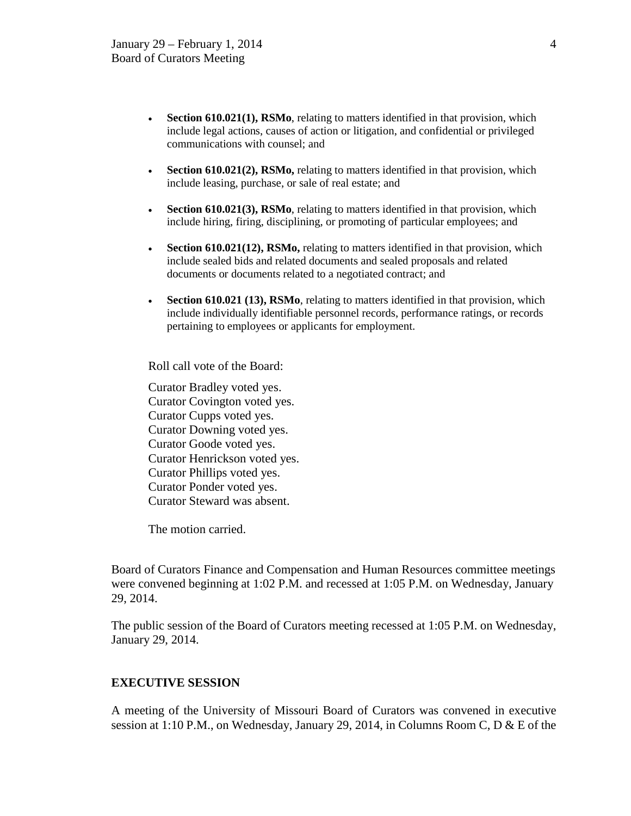- **Section 610.021(1), RSMo**, relating to matters identified in that provision, which include legal actions, causes of action or litigation, and confidential or privileged communications with counsel; and
- **Section 610.021(2), RSMo,** relating to matters identified in that provision, which include leasing, purchase, or sale of real estate; and
- **Section 610.021(3), RSMo**, relating to matters identified in that provision, which include hiring, firing, disciplining, or promoting of particular employees; and
- **Section 610.021(12), RSMo,** relating to matters identified in that provision, which include sealed bids and related documents and sealed proposals and related documents or documents related to a negotiated contract; and
- **Section 610.021 (13), RSMo**, relating to matters identified in that provision, which include individually identifiable personnel records, performance ratings, or records pertaining to employees or applicants for employment.

Roll call vote of the Board:

Curator Bradley voted yes. Curator Covington voted yes. Curator Cupps voted yes. Curator Downing voted yes. Curator Goode voted yes. Curator Henrickson voted yes. Curator Phillips voted yes. Curator Ponder voted yes. Curator Steward was absent.

The motion carried.

Board of Curators Finance and Compensation and Human Resources committee meetings were convened beginning at 1:02 P.M. and recessed at 1:05 P.M. on Wednesday, January 29, 2014.

The public session of the Board of Curators meeting recessed at 1:05 P.M. on Wednesday, January 29, 2014.

### **EXECUTIVE SESSION**

A meeting of the University of Missouri Board of Curators was convened in executive session at 1:10 P.M., on Wednesday, January 29, 2014, in Columns Room C, D & E of the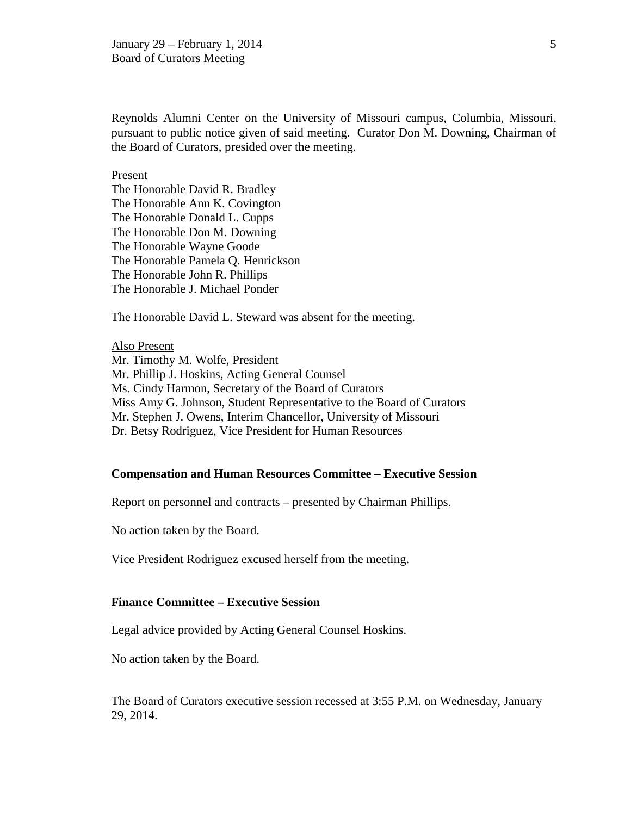Reynolds Alumni Center on the University of Missouri campus, Columbia, Missouri, pursuant to public notice given of said meeting. Curator Don M. Downing, Chairman of the Board of Curators, presided over the meeting.

#### Present

The Honorable David R. Bradley The Honorable Ann K. Covington The Honorable Donald L. Cupps The Honorable Don M. Downing The Honorable Wayne Goode The Honorable Pamela Q. Henrickson The Honorable John R. Phillips The Honorable J. Michael Ponder

The Honorable David L. Steward was absent for the meeting.

#### Also Present

Mr. Timothy M. Wolfe, President Mr. Phillip J. Hoskins, Acting General Counsel Ms. Cindy Harmon, Secretary of the Board of Curators Miss Amy G. Johnson, Student Representative to the Board of Curators Mr. Stephen J. Owens, Interim Chancellor, University of Missouri Dr. Betsy Rodriguez, Vice President for Human Resources

#### **Compensation and Human Resources Committee – Executive Session**

Report on personnel and contracts – presented by Chairman Phillips.

No action taken by the Board.

Vice President Rodriguez excused herself from the meeting.

### **Finance Committee – Executive Session**

Legal advice provided by Acting General Counsel Hoskins.

No action taken by the Board.

The Board of Curators executive session recessed at 3:55 P.M. on Wednesday, January 29, 2014.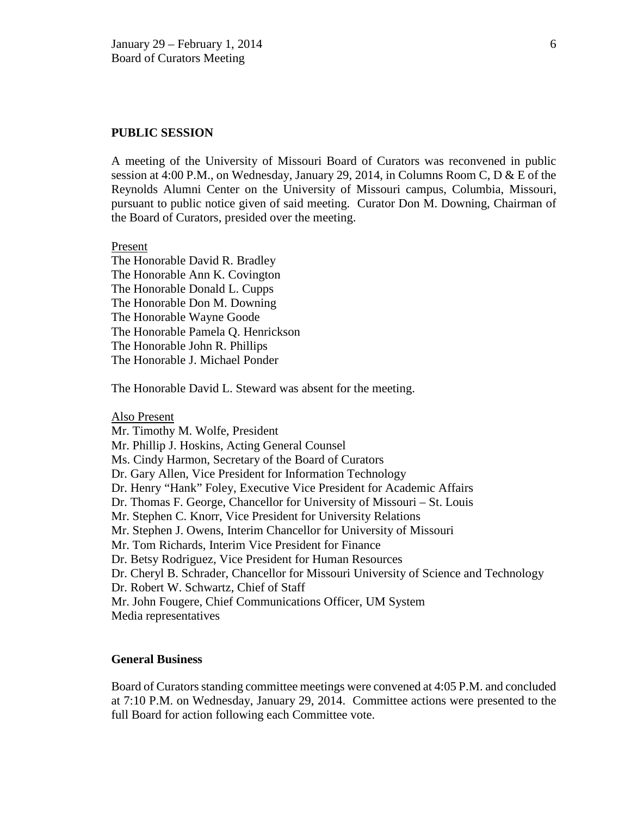## **PUBLIC SESSION**

A meeting of the University of Missouri Board of Curators was reconvened in public session at 4:00 P.M., on Wednesday, January 29, 2014, in Columns Room C, D & E of the Reynolds Alumni Center on the University of Missouri campus, Columbia, Missouri, pursuant to public notice given of said meeting. Curator Don M. Downing, Chairman of the Board of Curators, presided over the meeting.

#### Present

The Honorable David R. Bradley The Honorable Ann K. Covington The Honorable Donald L. Cupps The Honorable Don M. Downing The Honorable Wayne Goode The Honorable Pamela Q. Henrickson The Honorable John R. Phillips The Honorable J. Michael Ponder

The Honorable David L. Steward was absent for the meeting.

#### Also Present

Mr. Timothy M. Wolfe, President Mr. Phillip J. Hoskins, Acting General Counsel Ms. Cindy Harmon, Secretary of the Board of Curators Dr. Gary Allen, Vice President for Information Technology Dr. Henry "Hank" Foley, Executive Vice President for Academic Affairs Dr. Thomas F. George, Chancellor for University of Missouri – St. Louis Mr. Stephen C. Knorr, Vice President for University Relations Mr. Stephen J. Owens, Interim Chancellor for University of Missouri Mr. Tom Richards, Interim Vice President for Finance Dr. Betsy Rodriguez, Vice President for Human Resources Dr. Cheryl B. Schrader, Chancellor for Missouri University of Science and Technology Dr. Robert W. Schwartz, Chief of Staff Mr. John Fougere, Chief Communications Officer, UM System Media representatives

## **General Business**

Board of Curators standing committee meetings were convened at 4:05 P.M. and concluded at 7:10 P.M. on Wednesday, January 29, 2014. Committee actions were presented to the full Board for action following each Committee vote.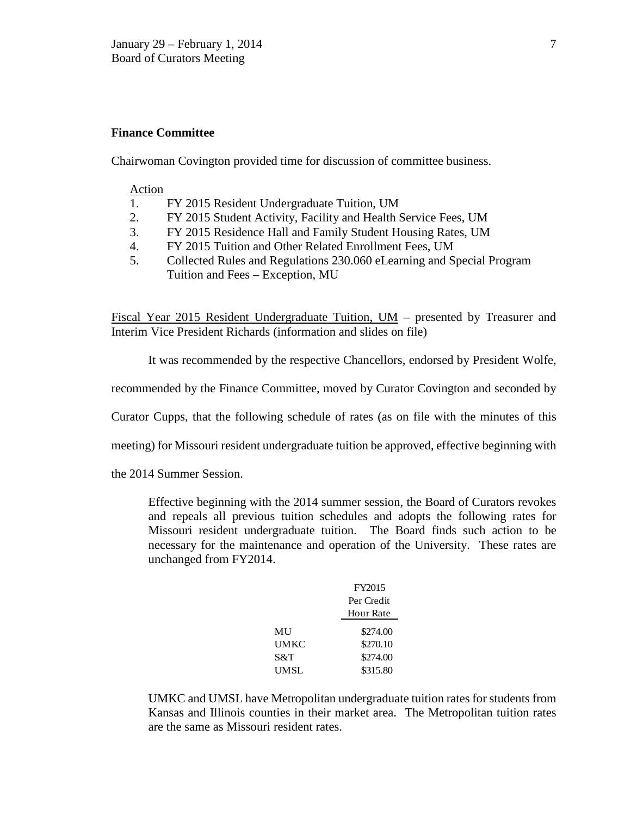## **Finance Committee**

Chairwoman Covington provided time for discussion of committee business.

## Action

- 1. FY 2015 Resident Undergraduate Tuition, UM
- 2. FY 2015 Student Activity, Facility and Health Service Fees, UM
- 3. FY 2015 Residence Hall and Family Student Housing Rates, UM
- 4. FY 2015 Tuition and Other Related Enrollment Fees, UM
- 5. Collected Rules and Regulations 230.060 eLearning and Special Program Tuition and Fees – Exception, MU

Fiscal Year 2015 Resident Undergraduate Tuition, UM – presented by Treasurer and Interim Vice President Richards (information and slides on file)

It was recommended by the respective Chancellors, endorsed by President Wolfe,

recommended by the Finance Committee, moved by Curator Covington and seconded by

Curator Cupps, that the following schedule of rates (as on file with the minutes of this

meeting) for Missouri resident undergraduate tuition be approved, effective beginning with

the 2014 Summer Session.

Effective beginning with the 2014 summer session, the Board of Curators revokes and repeals all previous tuition schedules and adopts the following rates for Missouri resident undergraduate tuition. The Board finds such action to be necessary for the maintenance and operation of the University. These rates are unchanged from FY2014.

|      | FY2015           |
|------|------------------|
|      | Per Credit       |
|      | <b>Hour Rate</b> |
| MU   | \$274.00         |
| UMKC | \$270.10         |
| S&T  | \$274.00         |
| UMSL | \$315.80         |

UMKC and UMSL have Metropolitan undergraduate tuition rates for students from Kansas and Illinois counties in their market area. The Metropolitan tuition rates are the same as Missouri resident rates.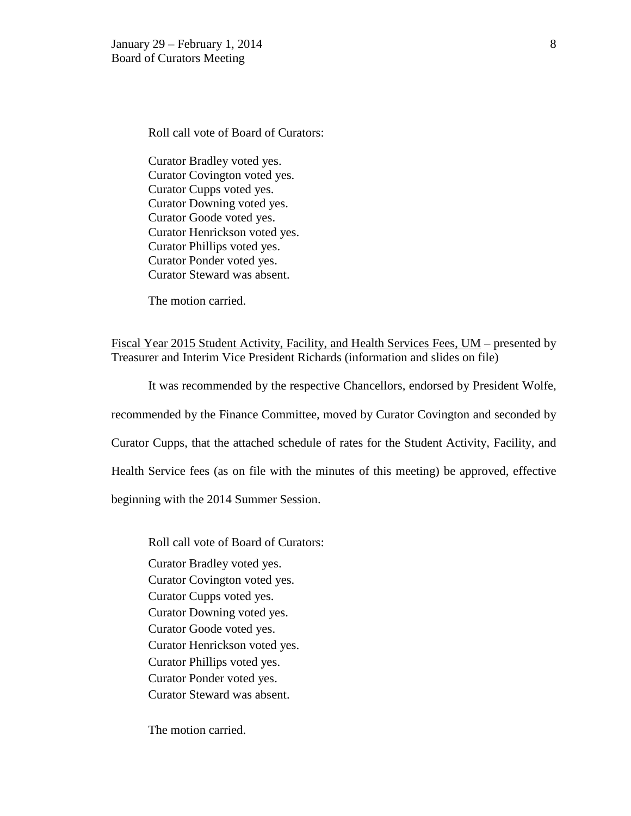Roll call vote of Board of Curators:

Curator Bradley voted yes. Curator Covington voted yes. Curator Cupps voted yes. Curator Downing voted yes. Curator Goode voted yes. Curator Henrickson voted yes. Curator Phillips voted yes. Curator Ponder voted yes. Curator Steward was absent.

The motion carried.

Fiscal Year 2015 Student Activity, Facility, and Health Services Fees, UM – presented by Treasurer and Interim Vice President Richards (information and slides on file)

It was recommended by the respective Chancellors, endorsed by President Wolfe,

recommended by the Finance Committee, moved by Curator Covington and seconded by

Curator Cupps, that the attached schedule of rates for the Student Activity, Facility, and

Health Service fees (as on file with the minutes of this meeting) be approved, effective

beginning with the 2014 Summer Session.

Roll call vote of Board of Curators:

Curator Bradley voted yes. Curator Covington voted yes. Curator Cupps voted yes. Curator Downing voted yes. Curator Goode voted yes. Curator Henrickson voted yes. Curator Phillips voted yes. Curator Ponder voted yes. Curator Steward was absent.

The motion carried.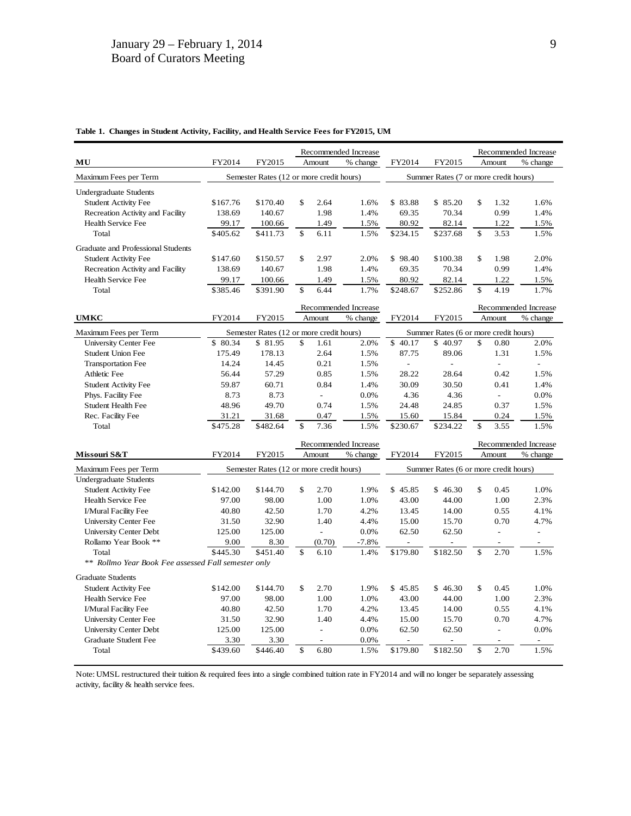#### **Table 1. Changes in Student Activity, Facility, and Health Service Fees for FY2015, UM**

|                                                     |          |                                          |                    |                | Recommended Increase |                          |                                       |                    |                          | Recommended Increase     |
|-----------------------------------------------------|----------|------------------------------------------|--------------------|----------------|----------------------|--------------------------|---------------------------------------|--------------------|--------------------------|--------------------------|
| MU                                                  | FY2014   | FY2015                                   |                    | Amount         | % change             | FY2014                   | FY2015                                |                    | Amount                   | % change                 |
| Maximum Fees per Term                               |          | Semester Rates (12 or more credit hours) |                    |                |                      |                          | Summer Rates (7 or more credit hours) |                    |                          |                          |
| <b>Undergraduate Students</b>                       |          |                                          |                    |                |                      |                          |                                       |                    |                          |                          |
| <b>Student Activity Fee</b>                         | \$167.76 | \$170.40                                 | $\mathcal{S}$      | 2.64           | 1.6%                 | \$83.88                  | \$85.20                               | \$                 | 1.32                     | 1.6%                     |
| Recreation Activity and Facility                    | 138.69   | 140.67                                   |                    | 1.98           | 1.4%                 | 69.35                    | 70.34                                 |                    | 0.99                     | 1.4%                     |
| Health Service Fee                                  | 99.17    | 100.66                                   |                    | 1.49           | 1.5%                 | 80.92                    | 82.14                                 |                    | 1.22                     | 1.5%                     |
| Total                                               | \$405.62 | \$411.73                                 | $\mathbf{\hat{S}}$ | 6.11           | 1.5%                 | \$234.15                 | \$237.68                              | \$                 | 3.53                     | 1.5%                     |
| Graduate and Professional Students                  |          |                                          |                    |                |                      |                          |                                       |                    |                          |                          |
| <b>Student Activity Fee</b>                         | \$147.60 | \$150.57                                 | \$                 | 2.97           | 2.0%                 | \$98.40                  | \$100.38                              | \$                 | 1.98                     | 2.0%                     |
| Recreation Activity and Facility                    | 138.69   | 140.67                                   |                    | 1.98           | 1.4%                 | 69.35                    | 70.34                                 |                    | 0.99                     | 1.4%                     |
| Health Service Fee                                  | 99.17    | 100.66                                   |                    | 1.49           | 1.5%                 | 80.92                    | 82.14                                 |                    | 1.22                     | 1.5%                     |
| Total                                               | \$385.46 | \$391.90                                 | \$                 | 6.44           | 1.7%                 | \$248.67                 | \$252.86                              | \$                 | 4.19                     | 1.7%                     |
|                                                     |          |                                          |                    |                | Recommended Increase |                          |                                       |                    |                          | Recommended Increase     |
| <b>UMKC</b>                                         | FY2014   | FY2015                                   |                    | Amount         | % change             | FY2014                   | FY2015                                |                    | Amount                   | % change                 |
| Maximum Fees per Term                               |          | Semester Rates (12 or more credit hours) |                    |                |                      |                          | Summer Rates (6 or more credit hours) |                    |                          |                          |
| <b>University Center Fee</b>                        | \$80.34  | \$81.95                                  | \$                 | 1.61           | 2.0%                 | \$40.17                  | \$<br>40.97                           | \$                 | 0.80                     | 2.0%                     |
| <b>Student Union Fee</b>                            | 175.49   | 178.13                                   |                    | 2.64           | 1.5%                 | 87.75                    | 89.06                                 |                    | 1.31                     | 1.5%                     |
| <b>Transportation Fee</b>                           | 14.24    | 14.45                                    |                    | 0.21           | 1.5%                 | $\overline{\phantom{a}}$ | $\frac{1}{2}$                         |                    | $\overline{\phantom{a}}$ | $\overline{\phantom{a}}$ |
| <b>Athletic Fee</b>                                 | 56.44    | 57.29                                    |                    | 0.85           | 1.5%                 | 28.22                    | 28.64                                 |                    | 0.42                     | 1.5%                     |
| <b>Student Activity Fee</b>                         | 59.87    | 60.71                                    |                    | 0.84           | 1.4%                 | 30.09                    | 30.50                                 |                    | 0.41                     | 1.4%                     |
| Phys. Facility Fee                                  | 8.73     | 8.73                                     |                    | $\overline{a}$ | 0.0%                 | 4.36                     | 4.36                                  |                    | $\overline{\phantom{a}}$ | 0.0%                     |
| Student Health Fee                                  | 48.96    | 49.70                                    |                    | 0.74           | 1.5%                 | 24.48                    | 24.85                                 |                    | 0.37                     | 1.5%                     |
| Rec. Facility Fee                                   | 31.21    | 31.68                                    |                    | 0.47           | 1.5%                 | 15.60                    | 15.84                                 |                    | 0.24                     | 1.5%                     |
| Total                                               | \$475.28 | \$482.64                                 | $\mathcal{S}$      | 7.36           | 1.5%                 | \$230.67                 | \$234.22                              | $\mathcal{S}$      | 3.55                     | 1.5%                     |
|                                                     |          |                                          |                    |                | Recommended Increase |                          |                                       |                    |                          | Recommended Increase     |
| Missouri S&T                                        | FY2014   | FY2015                                   |                    | Amount         | % change             | FY2014                   | FY2015                                |                    | Amount                   | % change                 |
| Maximum Fees per Term                               |          | Semester Rates (12 or more credit hours) |                    |                |                      |                          | Summer Rates (6 or more credit hours) |                    |                          |                          |
| <b>Undergraduate Students</b>                       |          |                                          |                    |                |                      |                          |                                       |                    |                          |                          |
| <b>Student Activity Fee</b>                         | \$142.00 | \$144.70                                 | \$                 | 2.70           | 1.9%                 | \$45.85                  | \$46.30                               | \$                 | 0.45                     | 1.0%                     |
| <b>Health Service Fee</b>                           | 97.00    | 98.00                                    |                    | 1.00           | 1.0%                 | 43.00                    | 44.00                                 |                    | 1.00                     | 2.3%                     |
| <b>I/Mural Facility Fee</b>                         | 40.80    | 42.50                                    |                    | 1.70           | 4.2%                 | 13.45                    | 14.00                                 |                    | 0.55                     | 4.1%                     |
| <b>University Center Fee</b>                        | 31.50    | 32.90                                    |                    | 1.40           | 4.4%                 | 15.00                    | 15.70                                 |                    | 0.70                     | 4.7%                     |
| University Center Debt                              | 125.00   | 125.00                                   |                    | $\overline{a}$ | 0.0%                 | 62.50                    | 62.50                                 |                    | $\frac{1}{2}$            | $\overline{\phantom{a}}$ |
| Rollamo Year Book **                                | 9.00     | 8.30                                     |                    | (0.70)         | $-7.8%$              |                          |                                       |                    |                          |                          |
| Total                                               | \$445.30 | \$451.40                                 | $\mathbf{\hat{S}}$ | 6.10           | 1.4%                 | \$179.80                 | \$182.50                              | $\mathbf{\hat{S}}$ | 2.70                     | 1.5%                     |
| ** Rollmo Year Book Fee assessed Fall semester only |          |                                          |                    |                |                      |                          |                                       |                    |                          |                          |
| <b>Graduate Students</b>                            |          |                                          |                    |                |                      |                          |                                       |                    |                          |                          |
| <b>Student Activity Fee</b>                         | \$142.00 | \$144.70                                 | \$                 | 2.70           | 1.9%                 | \$45.85                  | \$46.30                               | \$                 | 0.45                     | 1.0%                     |
| Health Service Fee                                  | 97.00    | 98.00                                    |                    | 1.00           | 1.0%                 | 43.00                    | 44.00                                 |                    | 1.00                     | 2.3%                     |
| <b>I/Mural Facility Fee</b>                         | 40.80    | 42.50                                    |                    | 1.70           | 4.2%                 | 13.45                    | 14.00                                 |                    | 0.55                     | 4.1%                     |
| University Center Fee                               | 31.50    | 32.90                                    |                    | 1.40           | 4.4%                 | 15.00                    | 15.70                                 |                    | 0.70                     | 4.7%                     |
| University Center Debt                              | 125.00   | 125.00                                   |                    | $\overline{a}$ | 0.0%                 | 62.50                    | 62.50                                 |                    | $\frac{1}{2}$            | 0.0%                     |
| <b>Graduate Student Fee</b>                         | 3.30     | 3.30                                     |                    |                | 0.0%                 |                          |                                       |                    |                          |                          |
| Total                                               | \$439.60 | \$446.40                                 | $\mathbb{S}$       | 6.80           | 1.5%                 | \$179.80                 | \$182.50                              | $\mathbf{\hat{S}}$ | 2.70                     | 1.5%                     |
|                                                     |          |                                          |                    |                |                      |                          |                                       |                    |                          |                          |

Note: UMSL restructured their tuition & required fees into a single combined tuition rate in FY2014 and will no longer be separately assessing activity, facility & health service fees.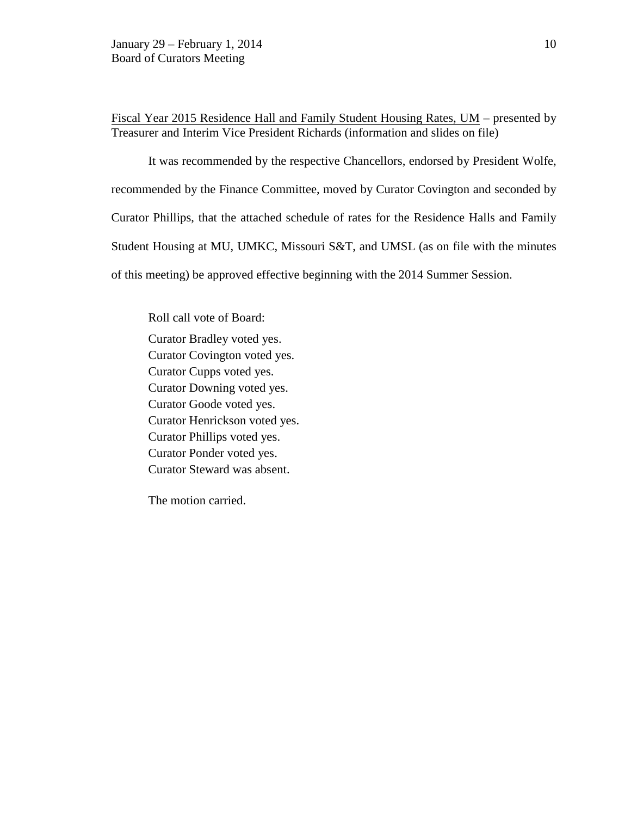Fiscal Year 2015 Residence Hall and Family Student Housing Rates, UM – presented by Treasurer and Interim Vice President Richards (information and slides on file)

It was recommended by the respective Chancellors, endorsed by President Wolfe, recommended by the Finance Committee, moved by Curator Covington and seconded by Curator Phillips, that the attached schedule of rates for the Residence Halls and Family Student Housing at MU, UMKC, Missouri S&T, and UMSL (as on file with the minutes of this meeting) be approved effective beginning with the 2014 Summer Session.

Roll call vote of Board: Curator Bradley voted yes. Curator Covington voted yes. Curator Cupps voted yes. Curator Downing voted yes. Curator Goode voted yes. Curator Henrickson voted yes. Curator Phillips voted yes. Curator Ponder voted yes. Curator Steward was absent.

The motion carried.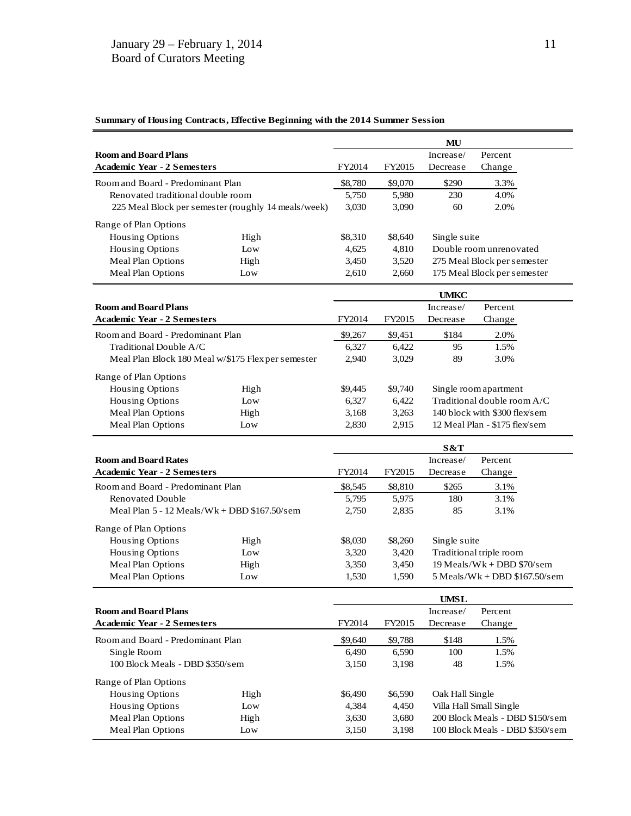|                                                                        |                                                     |                |                | MU              |                                                                    |
|------------------------------------------------------------------------|-----------------------------------------------------|----------------|----------------|-----------------|--------------------------------------------------------------------|
| <b>Room and Board Plans</b>                                            |                                                     |                |                | Increase/       | Percent                                                            |
| <b>Academic Year - 2 Semesters</b>                                     |                                                     | FY2014         | FY2015         | Decrease        | Change                                                             |
| Room and Board - Predominant Plan                                      |                                                     | \$8,780        | \$9,070        | \$290           | 3.3%                                                               |
| Renovated traditional double room                                      |                                                     | 5,750          | 5,980          | 230             | 4.0%                                                               |
|                                                                        | 225 Meal Block per semester (roughly 14 meals/week) | 3,030          | 3,090          | 60              | 2.0%                                                               |
|                                                                        |                                                     |                |                |                 |                                                                    |
| Range of Plan Options                                                  |                                                     |                |                |                 |                                                                    |
| <b>Housing Options</b>                                                 | High                                                | \$8,310        | \$8,640        | Single suite    |                                                                    |
| Housing Options                                                        | Low                                                 | 4,625          | 4,810          |                 | Double room unrenovated                                            |
| Meal Plan Options                                                      | High                                                | 3,450          | 3,520          |                 | 275 Meal Block per semester                                        |
| Meal Plan Options                                                      | Low                                                 | 2,610          | 2,660          |                 | 175 Meal Block per semester                                        |
|                                                                        |                                                     |                |                | <b>UMKC</b>     |                                                                    |
| <b>Room and Board Plans</b>                                            |                                                     |                |                | Increase/       | Percent                                                            |
| <b>Academic Year - 2 Semesters</b>                                     |                                                     | FY2014         | FY2015         | Decrease        | Change                                                             |
| Room and Board - Predominant Plan                                      |                                                     | \$9,267        | \$9,451        | \$184           | 2.0%                                                               |
| Traditional Double A/C                                                 |                                                     | 6,327          | 6,422          | 95              | 1.5%                                                               |
|                                                                        | Meal Plan Block 180 Meal w/\$175 Flex per semester  | 2,940          | 3,029          | 89              | 3.0%                                                               |
|                                                                        |                                                     |                |                |                 |                                                                    |
| Range of Plan Options                                                  |                                                     |                |                |                 |                                                                    |
| Housing Options                                                        | High                                                | \$9,445        | \$9,740        |                 | Single room apartment                                              |
| Housing Options                                                        | Low                                                 | 6,327          | 6,422          |                 | Traditional double room A/C                                        |
| Meal Plan Options                                                      | High                                                | 3,168          | 3,263          |                 | 140 block with \$300 flex/sem                                      |
| Meal Plan Options                                                      | Low                                                 | 2,830          | 2,915          |                 | 12 Meal Plan - \$175 flex/sem                                      |
|                                                                        |                                                     |                |                | S&T             |                                                                    |
| <b>Room and Board Rates</b>                                            |                                                     |                |                | Increase/       | Percent                                                            |
| <b>Academic Year - 2 Semesters</b>                                     |                                                     | FY2014         | FY2015         | Decrease        | Change                                                             |
| Room and Board - Predominant Plan                                      |                                                     | \$8,545        | \$8,810        | \$265           | 3.1%                                                               |
| <b>Renovated Double</b>                                                |                                                     | 5,795          | 5,975          | 180             | 3.1%                                                               |
| Meal Plan $5 - 12$ Meals/Wk + DBD \$167.50/sem                         |                                                     | 2,750          | 2,835          | 85              | 3.1%                                                               |
| Range of Plan Options                                                  |                                                     |                |                |                 |                                                                    |
| Housing Options                                                        | High                                                | \$8,030        | \$8,260        | Single suite    |                                                                    |
| Housing Options                                                        | Low                                                 | 3,320          | 3,420          |                 | Traditional triple room                                            |
| Meal Plan Options                                                      | High                                                | 3,350          | 3,450          |                 | 19 Meals/Wk + DBD $$70$ /sem                                       |
| Meal Plan Options                                                      | Low                                                 | 1,530          | 1,590          |                 | $5$ Meals/Wk + DBD \$167.50/sem                                    |
|                                                                        |                                                     |                |                |                 |                                                                    |
|                                                                        |                                                     |                |                | <b>UMSL</b>     |                                                                    |
| <b>Room and Board Plans</b>                                            |                                                     |                |                | Increase/       | Percent                                                            |
| <b>Academic Year - 2 Semesters</b>                                     |                                                     | FY2014         | FY2015         | Decrease        | Change                                                             |
| Room and Board - Predominant Plan                                      |                                                     | \$9,640        | \$9,788        | \$148           | 1.5%                                                               |
| Single Room                                                            |                                                     | 6,490          | 6,590          | 100             | 1.5%                                                               |
| 100 Block Meals - DBD \$350/sem                                        |                                                     | 3,150          | 3,198          | 48              | 1.5%                                                               |
|                                                                        |                                                     |                |                |                 |                                                                    |
|                                                                        |                                                     |                |                |                 |                                                                    |
|                                                                        |                                                     |                |                |                 |                                                                    |
| Housing Options                                                        | High                                                | \$6,490        | \$6,590        | Oak Hall Single |                                                                    |
| Housing Options                                                        | Low                                                 | 4,384          | 4,450          |                 | Villa Hall Small Single                                            |
| Range of Plan Options<br><b>Meal Plan Options</b><br>Meal Plan Options | High<br>Low                                         | 3,630<br>3,150 | 3,680<br>3,198 |                 | 200 Block Meals - DBD \$150/sem<br>100 Block Meals - DBD \$350/sem |

## **Summary of Housing Contracts, Effective Beginning with the 2014 Summer Session**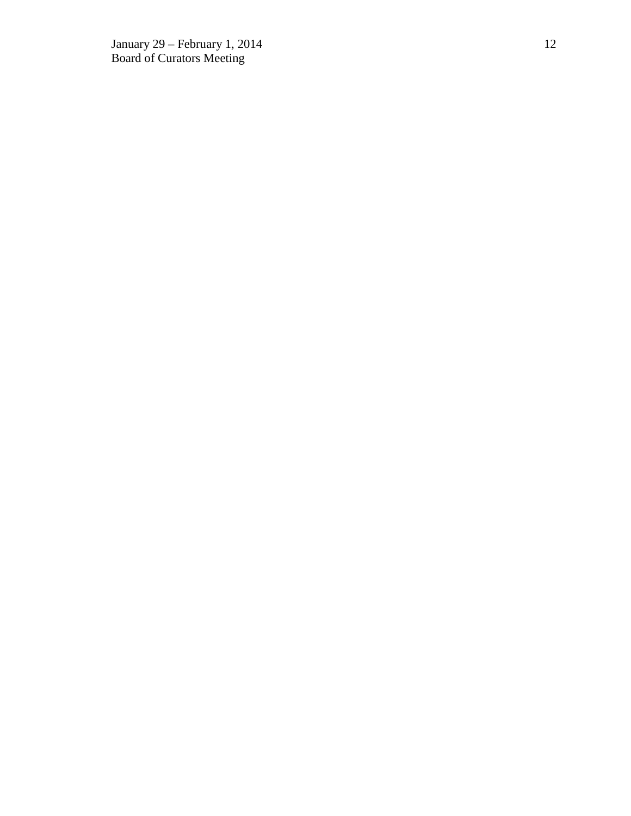January 29 – February 1, 2014 12 Board of Curators Meeting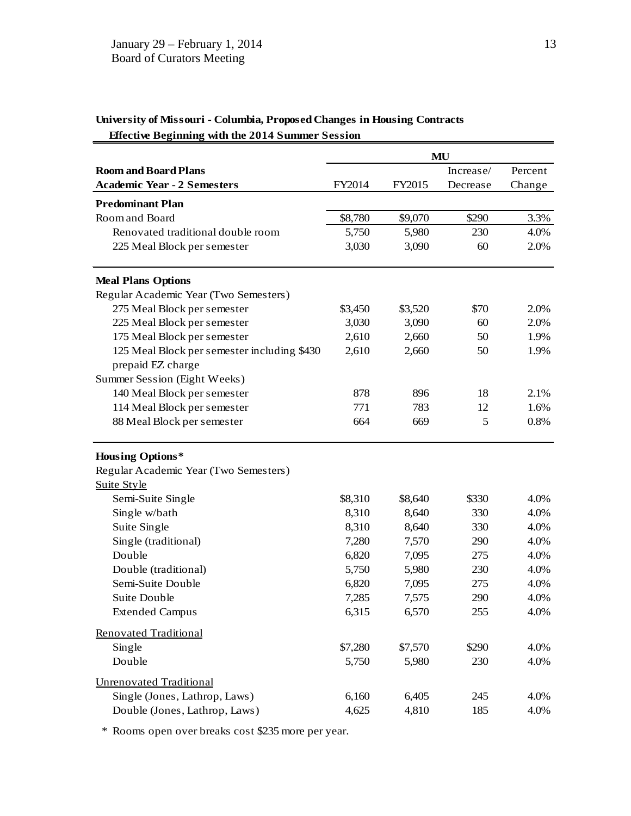|                                             | MU      |         |           |         |
|---------------------------------------------|---------|---------|-----------|---------|
| <b>Room and Board Plans</b>                 |         |         | Increase/ | Percent |
| <b>Academic Year - 2 Semesters</b>          | FY2014  | FY2015  | Decrease  | Change  |
| <b>Predominant Plan</b>                     |         |         |           |         |
| Room and Board                              | \$8,780 | \$9,070 | \$290     | 3.3%    |
| Renovated traditional double room           | 5,750   | 5,980   | 230       | 4.0%    |
| 225 Meal Block per semester                 | 3,030   | 3,090   | 60        | 2.0%    |
| <b>Meal Plans Options</b>                   |         |         |           |         |
| Regular Academic Year (Two Semesters)       |         |         |           |         |
| 275 Meal Block per semester                 | \$3,450 | \$3,520 | \$70      | 2.0%    |
| 225 Meal Block per semester                 | 3,030   | 3,090   | 60        | 2.0%    |
| 175 Meal Block per semester                 | 2,610   | 2,660   | 50        | 1.9%    |
| 125 Meal Block per semester including \$430 | 2,610   | 2,660   | 50        | 1.9%    |
| prepaid EZ charge                           |         |         |           |         |
| Summer Session (Eight Weeks)                |         |         |           |         |
| 140 Meal Block per semester                 | 878     | 896     | 18        | 2.1%    |
| 114 Meal Block per semester                 | 771     | 783     | 12        | 1.6%    |
| 88 Meal Block per semester                  | 664     | 669     | 5         | 0.8%    |
| <b>Housing Options*</b>                     |         |         |           |         |
| Regular Academic Year (Two Semesters)       |         |         |           |         |
| <b>Suite Style</b>                          |         |         |           |         |
| Semi-Suite Single                           | \$8,310 | \$8,640 | \$330     | 4.0%    |
| Single w/bath                               | 8,310   | 8,640   | 330       | 4.0%    |
| Suite Single                                | 8,310   | 8,640   | 330       | 4.0%    |
| Single (traditional)                        | 7,280   | 7,570   | 290       | 4.0%    |
| Double                                      | 6,820   | 7,095   | 275       | 4.0%    |
| Double (traditional)                        | 5,750   | 5,980   | 230       | 4.0%    |
| Semi-Suite Double                           | 6,820   | 7,095   | 275       | 4.0%    |
| Suite Double                                | 7,285   | 7,575   | 290       | 4.0%    |
| <b>Extended Campus</b>                      | 6,315   | 6,570   | 255       | 4.0%    |
| <b>Renovated Traditional</b>                |         |         |           |         |
| Single                                      | \$7,280 | \$7,570 | \$290     | 4.0%    |
| Double                                      | 5,750   | 5,980   | 230       | 4.0%    |
| <b>Unrenovated Traditional</b>              |         |         |           |         |
| Single (Jones, Lathrop, Laws)               | 6,160   | 6,405   | 245       | 4.0%    |
| Double (Jones, Lathrop, Laws)               | 4,625   | 4,810   | 185       | 4.0%    |

# **University of Missouri - Columbia, Proposed Changes in Housing Contracts Effective Beginning with the 2014 Summer Session**

\* Rooms open over breaks cost \$235 more per year.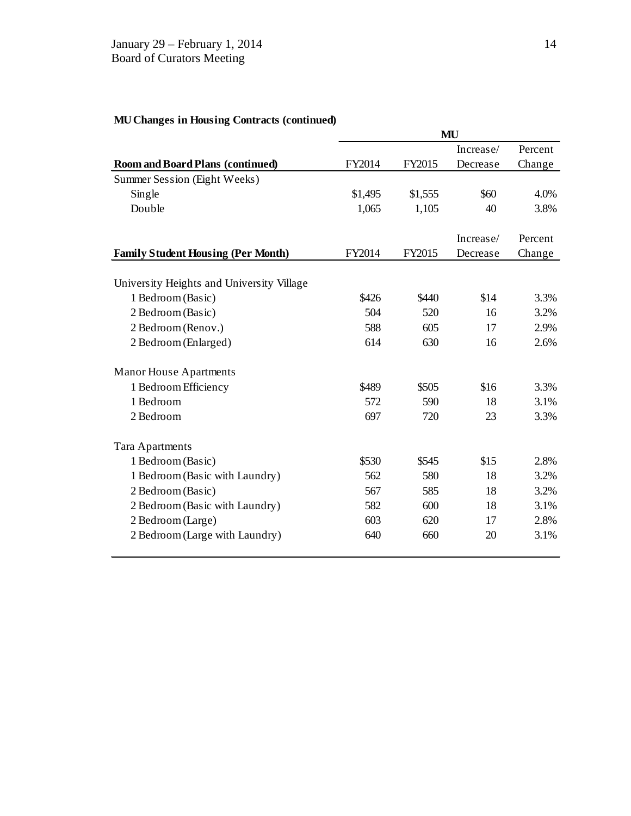# **MU Changes in Housing Contracts (continued)**

|                                           | MU      |         |           |         |
|-------------------------------------------|---------|---------|-----------|---------|
|                                           |         |         | Increase/ | Percent |
| <b>Room and Board Plans (continued)</b>   | FY2014  | FY2015  | Decrease  | Change  |
| Summer Session (Eight Weeks)              |         |         |           |         |
| Single                                    | \$1,495 | \$1,555 | \$60      | 4.0%    |
| Double                                    | 1,065   | 1,105   | 40        | 3.8%    |
|                                           |         |         |           |         |
|                                           |         |         | Increase/ | Percent |
| <b>Family Student Housing (Per Month)</b> | FY2014  | FY2015  | Decrease  | Change  |
|                                           |         |         |           |         |
| University Heights and University Village |         |         |           |         |
| 1 Bedroom (Basic)                         | \$426   | \$440   | \$14      | 3.3%    |
| 2 Bedroom (Basic)                         | 504     | 520     | 16        | 3.2%    |
| 2 Bedroom (Renov.)                        | 588     | 605     | 17        | 2.9%    |
| 2 Bedroom (Enlarged)                      | 614     | 630     | 16        | 2.6%    |
| <b>Manor House Apartments</b>             |         |         |           |         |
| 1 Bedroom Efficiency                      | \$489   | \$505   | \$16      | 3.3%    |
| 1 Bedroom                                 | 572     | 590     | 18        | 3.1%    |
| 2 Bedroom                                 | 697     | 720     | 23        | 3.3%    |
| Tara Apartments                           |         |         |           |         |
| 1 Bedroom (Basic)                         | \$530   | \$545   | \$15      | 2.8%    |
| 1 Bedroom (Basic with Laundry)            | 562     | 580     | 18        | 3.2%    |
| 2 Bedroom (Basic)                         | 567     | 585     | 18        | 3.2%    |
| 2 Bedroom (Basic with Laundry)            | 582     | 600     | 18        | 3.1%    |
| 2 Bedroom (Large)                         | 603     | 620     | 17        | 2.8%    |
| 2 Bedroom (Large with Laundry)            | 640     | 660     | 20        | 3.1%    |
|                                           |         |         |           |         |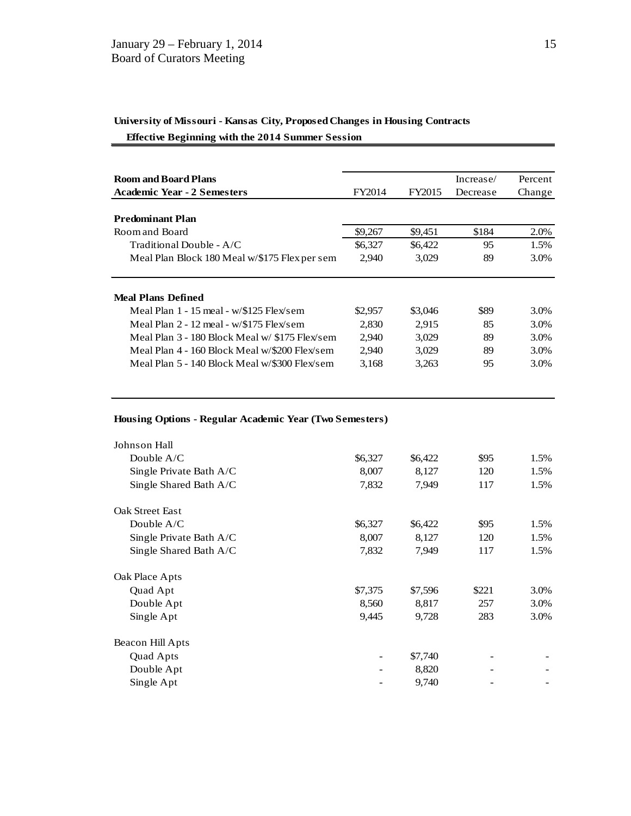# **University of Missouri - Kansas City, Proposed Changes in Housing Contracts Effective Beginning with the 2014 Summer Session**

| <b>Room and Board Plans</b>                                                                                                                                                               |                                    |                                    | Increase/              | Percent                      |
|-------------------------------------------------------------------------------------------------------------------------------------------------------------------------------------------|------------------------------------|------------------------------------|------------------------|------------------------------|
| <b>Academic Year - 2 Semesters</b>                                                                                                                                                        | FY2014                             | FY2015                             | Decrease               | Change                       |
| <b>Predominant Plan</b>                                                                                                                                                                   |                                    |                                    |                        |                              |
| Room and Board                                                                                                                                                                            | \$9,267                            | \$9,451                            | \$184                  | 2.0%                         |
| Traditional Double - A/C                                                                                                                                                                  | \$6,327                            | \$6,422                            | 95                     | 1.5%                         |
| Meal Plan Block 180 Meal w/\$175 Flex per sem                                                                                                                                             | 2,940                              | 3,029                              | 89                     | 3.0%                         |
| Meal Plan 1 - 15 meal - w/\$125 Flex/sem<br>Meal Plan $2 - 12$ meal - w/\$175 Flex/sem<br>Meal Plan 3 - 180 Block Meal w/ \$175 Flex/sem<br>Meal Plan 4 - 160 Block Meal w/\$200 Flex/sem | \$2,957<br>2,830<br>2,940<br>2,940 | \$3,046<br>2,915<br>3,029<br>3,029 | \$89<br>85<br>89<br>89 | 3.0%<br>3.0%<br>3.0%<br>3.0% |
|                                                                                                                                                                                           |                                    |                                    |                        |                              |
| Meal Plan 5 - 140 Block Meal w/\$300 Flex/sem                                                                                                                                             | 3,168                              | 3,263                              | 95                     | 3.0%                         |
|                                                                                                                                                                                           |                                    |                                    |                        |                              |

| Johnson Hall            |         |         |       |      |
|-------------------------|---------|---------|-------|------|
| Double A/C              | \$6,327 | \$6,422 | \$95  | 1.5% |
| Single Private Bath A/C | 8,007   | 8,127   | 120   | 1.5% |
| Single Shared Bath A/C  | 7,832   | 7,949   | 117   | 1.5% |
| Oak Street East         |         |         |       |      |
| Double A/C              | \$6,327 | \$6,422 | \$95  | 1.5% |
| Single Private Bath A/C | 8,007   | 8,127   | 120   | 1.5% |
| Single Shared Bath A/C  | 7,832   | 7,949   | 117   | 1.5% |
| Oak Place Apts          |         |         |       |      |
| Quad Apt                | \$7,375 | \$7,596 | \$221 | 3.0% |
| Double Apt              | 8,560   | 8,817   | 257   | 3.0% |
| Single Apt              | 9,445   | 9,728   | 283   | 3.0% |
| Beacon Hill Apts        |         |         |       |      |
| Quad Apts               |         | \$7,740 |       |      |
| Double Apt              |         | 8,820   |       |      |
| Single Apt              |         | 9,740   |       |      |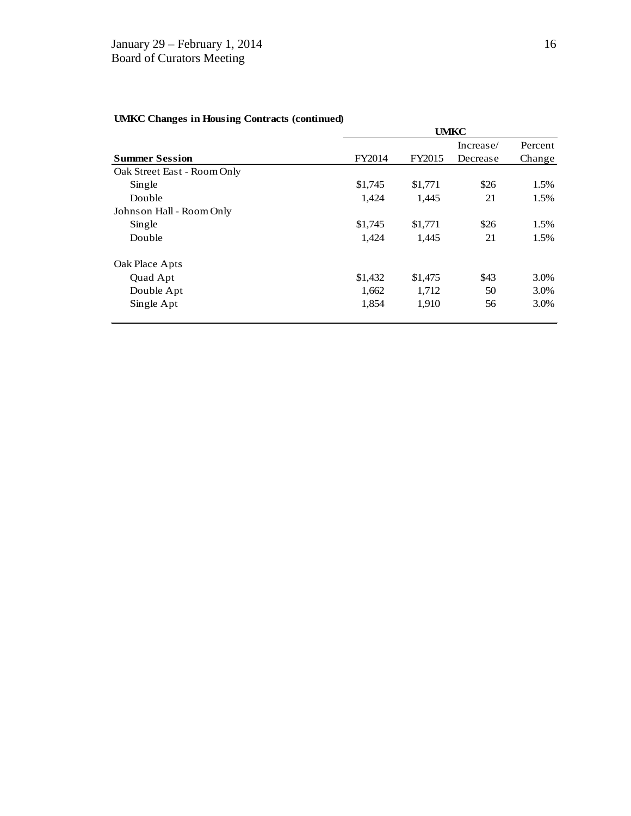|                             |         |         | <b>UMKC</b> |         |
|-----------------------------|---------|---------|-------------|---------|
|                             |         |         | Increase/   | Percent |
| <b>Summer Session</b>       | FY2014  | FY2015  | Decrease    | Change  |
| Oak Street East - Room Only |         |         |             |         |
| Single                      | \$1,745 | \$1,771 | \$26        | 1.5%    |
| Double                      | 1,424   | 1,445   | 21          | 1.5%    |
| Johnson Hall - Room Only    |         |         |             |         |
| Single                      | \$1,745 | \$1,771 | \$26        | 1.5%    |
| Double                      | 1,424   | 1,445   | 21          | 1.5%    |
| Oak Place Apts              |         |         |             |         |
| Quad Apt                    | \$1,432 | \$1,475 | \$43        | 3.0%    |
| Double Apt                  | 1,662   | 1,712   | 50          | 3.0%    |
| Single Apt                  | 1,854   | 1,910   | 56          | 3.0%    |

## **UMKC Changes in Housing Contracts (continued)**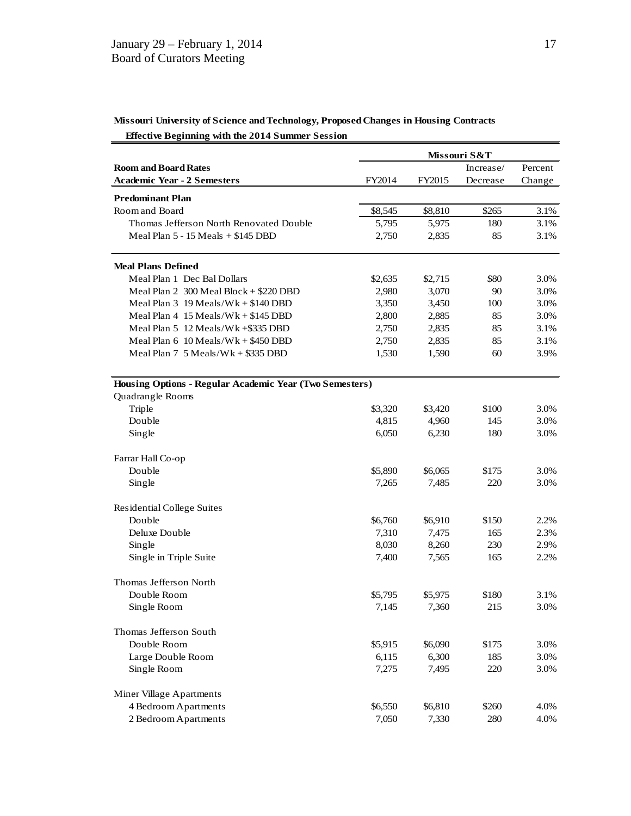|                                                         | Missouri S&T |         |           |         |
|---------------------------------------------------------|--------------|---------|-----------|---------|
| <b>Room and Board Rates</b>                             |              |         | Increase/ | Percent |
| <b>Academic Year - 2 Semesters</b>                      | FY2014       | FY2015  | Decrease  | Change  |
| <b>Predominant Plan</b>                                 |              |         |           |         |
| Room and Board                                          | \$8,545      | \$8,810 | \$265     | 3.1%    |
| Thomas Jefferson North Renovated Double                 | 5,795        | 5,975   | 180       | 3.1%    |
| Meal Plan $5 - 15$ Meals $+ $145$ DBD                   | 2,750        | 2,835   | 85        | 3.1%    |
|                                                         |              |         |           |         |
| <b>Meal Plans Defined</b>                               |              |         |           |         |
| Meal Plan 1 Dec Bal Dollars                             | \$2,635      | \$2,715 | \$80      | 3.0%    |
| Meal Plan $2 \, 300$ Meal Block + \$220 DBD             | 2,980        | 3,070   | 90        | 3.0%    |
| Meal Plan $3$ 19 Meals/Wk + \$140 DBD                   | 3,350        | 3,450   | 100       | 3.0%    |
| Meal Plan $4$ 15 Meals/Wk + \$145 DBD                   | 2,800        | 2,885   | 85        | 3.0%    |
| Meal Plan 5 12 Meals/Wk + \$335 DBD                     | 2,750        | 2,835   | 85        | 3.1%    |
| Meal Plan $6 \cdot 10$ Meals/Wk + \$450 DBD             | 2,750        | 2,835   | 85        | 3.1%    |
| Meal Plan $7.5$ Meals/Wk + \$335 DBD                    | 1,530        | 1,590   | 60        | 3.9%    |
|                                                         |              |         |           |         |
| Housing Options - Regular Academic Year (Two Semesters) |              |         |           |         |
| Quadrangle Rooms                                        |              |         |           |         |
| Triple                                                  | \$3,320      | \$3,420 | \$100     | 3.0%    |
| Double                                                  | 4,815        | 4,960   | 145       | 3.0%    |
| Single                                                  | 6,050        | 6,230   | 180       | 3.0%    |
| Farrar Hall Co-op                                       |              |         |           |         |
| Double                                                  | \$5,890      | \$6,065 | \$175     | 3.0%    |
| Single                                                  | 7,265        | 7,485   | 220       | 3.0%    |
|                                                         |              |         |           |         |
| <b>Residential College Suites</b>                       |              |         |           |         |
| Double                                                  | \$6,760      | \$6,910 | \$150     | 2.2%    |
| Deluxe Double                                           | 7,310        | 7,475   | 165       | 2.3%    |
| Single                                                  | 8,030        | 8,260   | 230       | 2.9%    |
| Single in Triple Suite                                  | 7,400        | 7,565   | 165       | 2.2%    |
| Thomas Jefferson North                                  |              |         |           |         |
| Double Room                                             |              |         | \$180     | 3.1%    |
|                                                         | \$5,795      | \$5,975 |           |         |
| Single Room                                             | 7,145        | 7,360   | 215       | 3.0%    |
| Thomas Jefferson South                                  |              |         |           |         |
| Double Room                                             | \$5,915      | \$6,090 | \$175     | 3.0%    |
| Large Double Room                                       | 6,115        | 6,300   | 185       | 3.0%    |
| Single Room                                             | 7,275        | 7,495   | 220       | 3.0%    |
| Miner Village Apartments                                |              |         |           |         |
| 4 Bedroom Apartments                                    | \$6,550      | \$6,810 | \$260     | 4.0%    |
| 2 Bedroom Apartments                                    | 7,050        | 7,330   | 280       | 4.0%    |
|                                                         |              |         |           |         |

**Missouri University of Science and Technology, Proposed Changes in Housing Contracts Effective Beginning with the 2014 Summer Session**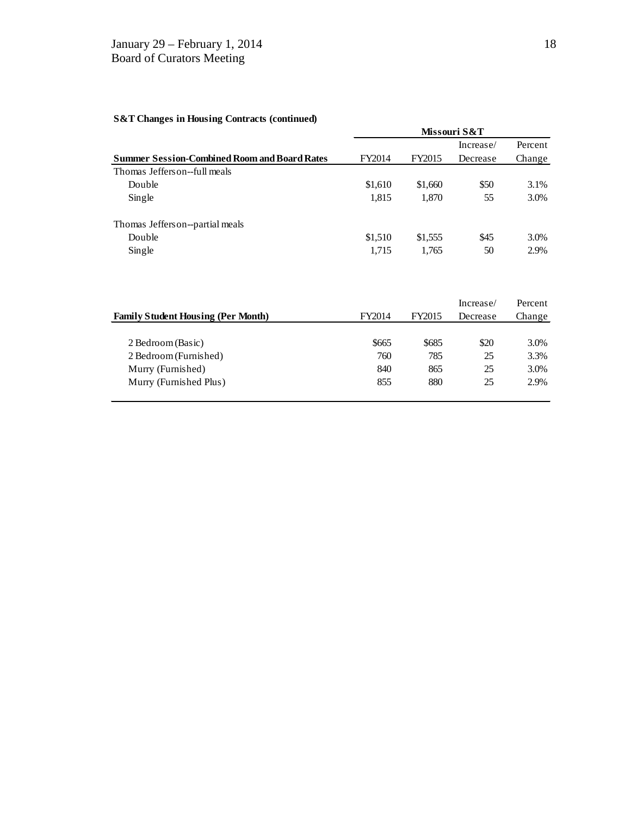## **S&T Changes in Housing Contracts (continued)**

| Missouri S&T |         |           |         |  |
|--------------|---------|-----------|---------|--|
|              |         | Increase/ | Percent |  |
| FY2014       | FY2015  | Decrease  | Change  |  |
|              |         |           |         |  |
| \$1,610      | \$1,660 | \$50      | 3.1%    |  |
| 1,815        | 1,870   | 55        | 3.0%    |  |
|              |         |           |         |  |
| \$1,510      | \$1,555 | \$45      | 3.0%    |  |
| 1,715        | 1,765   | 50        | 2.9%    |  |
|              |         |           |         |  |

|                                           |        |        | Increase/ | Percent |
|-------------------------------------------|--------|--------|-----------|---------|
| <b>Family Student Housing (Per Month)</b> | FY2014 | FY2015 | Decrease  | Change  |
|                                           |        |        |           |         |
| 2 Bedroom (Basic)                         | \$665  | \$685  | \$20      | 3.0%    |
| 2 Bedroom (Furnished)                     | 760    | 785    | 25        | 3.3%    |
| Murry (Furnished)                         | 840    | 865    | 25        | 3.0%    |
| Murry (Furnished Plus)                    | 855    | 880    | 25        | 2.9%    |
|                                           |        |        |           |         |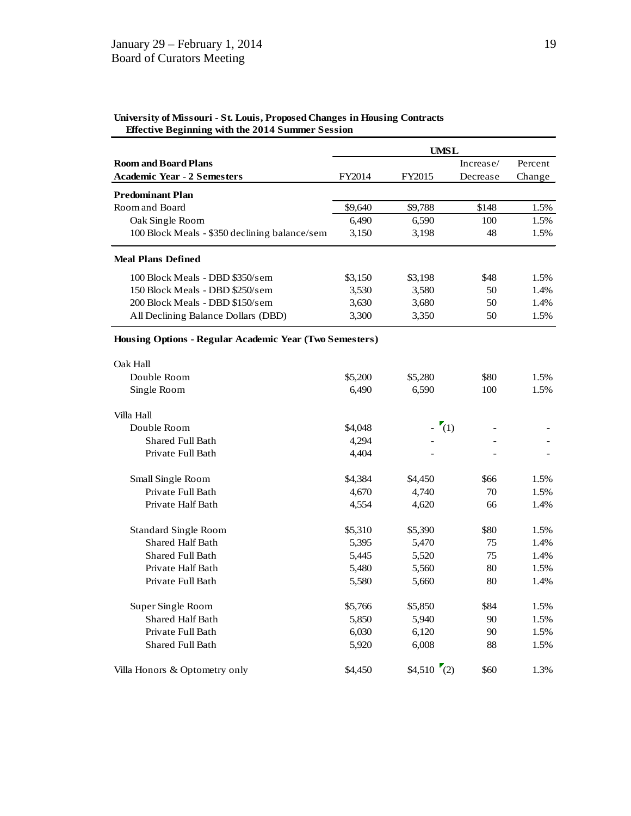|                                                         | UMSL    |                          |           |         |
|---------------------------------------------------------|---------|--------------------------|-----------|---------|
| <b>Room and Board Plans</b>                             |         |                          | Increase/ | Percent |
| <b>Academic Year - 2 Semesters</b>                      | FY2014  | FY2015                   | Decrease  | Change  |
| <b>Predominant Plan</b>                                 |         |                          |           |         |
| Room and Board                                          | \$9,640 | \$9,788                  | \$148     | 1.5%    |
| Oak Single Room                                         | 6,490   | 6,590                    | 100       | 1.5%    |
| 100 Block Meals - \$350 declining balance/sem           | 3,150   | 3,198                    | 48        | 1.5%    |
| <b>Meal Plans Defined</b>                               |         |                          |           |         |
| 100 Block Meals - DBD \$350/sem                         | \$3,150 | \$3,198                  | \$48      | 1.5%    |
| 150 Block Meals - DBD \$250/sem                         | 3,530   | 3,580                    | 50        | 1.4%    |
| 200 Block Meals - DBD \$150/sem                         | 3,630   | 3,680                    | 50        | 1.4%    |
| All Declining Balance Dollars (DBD)                     | 3,300   | 3,350                    | 50        | 1.5%    |
| Housing Options - Regular Academic Year (Two Semesters) |         |                          |           |         |
| Oak Hall                                                |         |                          |           |         |
| Double Room                                             | \$5,200 | \$5,280                  | \$80      | 1.5%    |
| Single Room                                             | 6,490   | 6,590                    | 100       | 1.5%    |
| Villa Hall                                              |         |                          |           |         |
| Double Room                                             | \$4,048 | $-\sqrt{\phantom{a}}(1)$ |           |         |
| <b>Shared Full Bath</b>                                 | 4,294   |                          |           |         |
| Private Full Bath                                       | 4,404   |                          |           |         |
| Small Single Room                                       | \$4,384 | \$4,450                  | \$66      | 1.5%    |
| Private Full Bath                                       | 4,670   | 4,740                    | 70        | 1.5%    |
| Private Half Bath                                       | 4,554   | 4,620                    | 66        | 1.4%    |
| <b>Standard Single Room</b>                             | \$5,310 | \$5,390                  | \$80      | 1.5%    |
| <b>Shared Half Bath</b>                                 | 5,395   | 5,470                    | 75        | 1.4%    |
| <b>Shared Full Bath</b>                                 | 5,445   | 5,520                    | 75        | 1.4%    |
| Private Half Bath                                       | 5,480   | 5,560                    | 80        | 1.5%    |
| Private Full Bath                                       | 5,580   | 5,660                    | 80        | 1.4%    |
| Super Single Room                                       | \$5,766 | \$5,850                  | \$84      | 1.5%    |
| <b>Shared Half Bath</b>                                 | 5,850   | 5,940                    | 90        | 1.5%    |
| Private Full Bath                                       | 6,030   | 6,120                    | 90        | 1.5%    |
| <b>Shared Full Bath</b>                                 | 5,920   | 6,008                    | 88        | 1.5%    |
| Villa Honors & Optometry only                           | \$4,450 | $$4,510$ (2)             | \$60      | 1.3%    |

### **University of Missouri - St. Louis, Proposed Changes in Housing Contracts Effective Beginning with the 2014 Summer Session**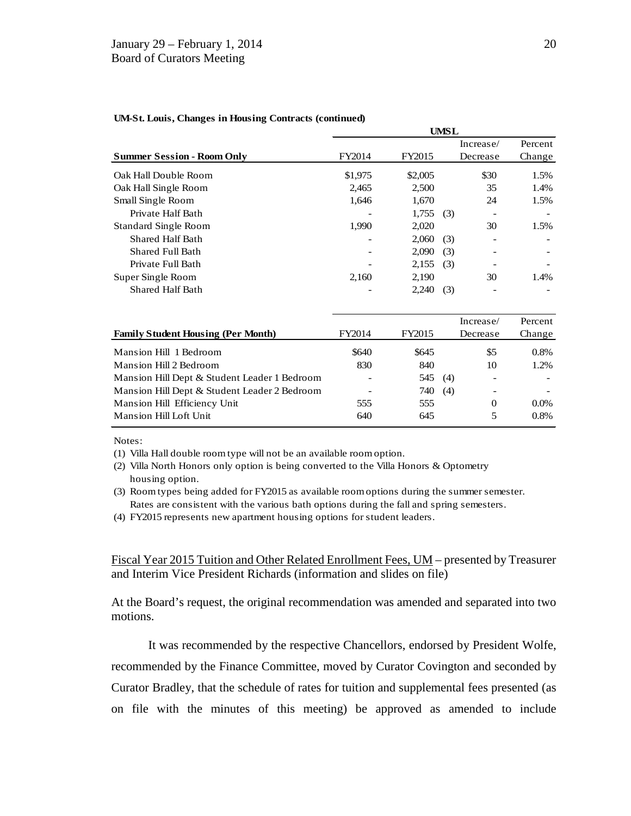|                                              | UMSL    |         |     |           |         |
|----------------------------------------------|---------|---------|-----|-----------|---------|
|                                              |         |         |     | Increase/ | Percent |
| <b>Summer Session - Room Only</b>            | FY2014  | FY2015  |     | Decrease  | Change  |
| Oak Hall Double Room                         | \$1,975 | \$2,005 |     | \$30      | 1.5%    |
| Oak Hall Single Room                         | 2,465   | 2,500   |     | 35        | 1.4%    |
| Small Single Room                            | 1,646   | 1,670   |     | 24        | 1.5%    |
| Private Half Bath                            |         | 1,755   | (3) |           |         |
| <b>Standard Single Room</b>                  | 1,990   | 2,020   |     | 30        | 1.5%    |
| <b>Shared Half Bath</b>                      |         | 2,060   | (3) |           |         |
| <b>Shared Full Bath</b>                      |         | 2,090   | (3) |           |         |
| Private Full Bath                            |         | 2,155   | (3) |           |         |
| Super Single Room                            | 2,160   | 2,190   |     | 30        | 1.4%    |
| <b>Shared Half Bath</b>                      |         | 2,240   | (3) |           |         |
|                                              |         |         |     | Increase/ | Percent |
| <b>Family Student Housing (Per Month)</b>    | FY2014  | FY2015  |     | Decrease  | Change  |
| Mansion Hill 1 Bedroom                       | \$640   | \$645   |     | \$5       | 0.8%    |
| Mansion Hill 2 Bedroom                       | 830     | 840     |     | 10        | 1.2%    |
| Mansion Hill Dept & Student Leader 1 Bedroom |         | 545     | (4) |           |         |
| Mansion Hill Dept & Student Leader 2 Bedroom |         | 740     | (4) |           |         |
| Mansion Hill Efficiency Unit                 | 555     | 555     |     | $\Omega$  | $0.0\%$ |
| Mansion Hill Loft Unit                       | 640     | 645     |     | 5         | 0.8%    |

#### **UM-St. Louis, Changes in Housing Contracts (continued)**

Notes:

(1) Villa Hall double room type will not be an available room option.

(2) Villa North Honors only option is being converted to the Villa Honors & Optometry housing option.

(3) Room types being added for FY2015 as available room options during the summer semester. Rates are consistent with the various bath options during the fall and spring semesters.

(4) FY2015 represents new apartment housing options for student leaders.

Fiscal Year 2015 Tuition and Other Related Enrollment Fees, UM – presented by Treasurer and Interim Vice President Richards (information and slides on file)

At the Board's request, the original recommendation was amended and separated into two motions.

It was recommended by the respective Chancellors, endorsed by President Wolfe, recommended by the Finance Committee, moved by Curator Covington and seconded by Curator Bradley, that the schedule of rates for tuition and supplemental fees presented (as on file with the minutes of this meeting) be approved as amended to include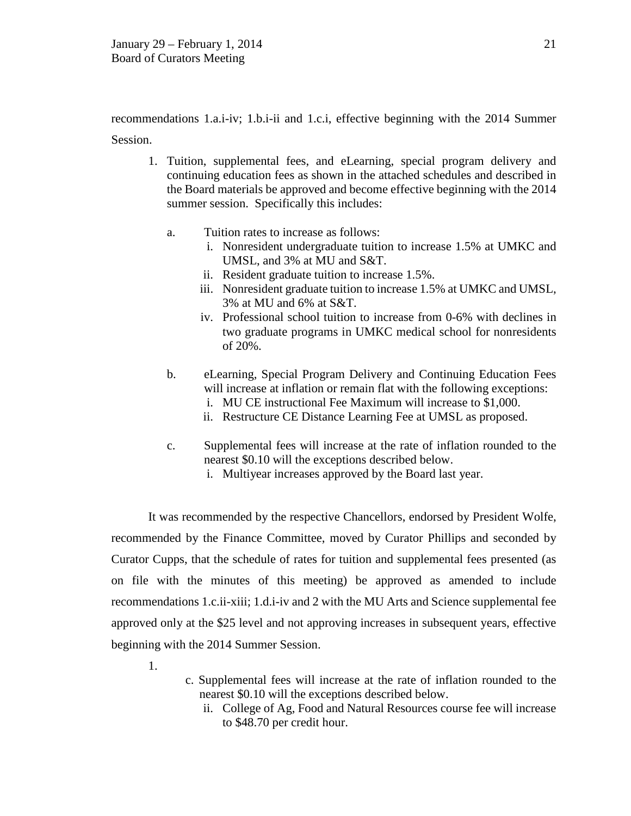recommendations 1.a.i-iv; 1.b.i-ii and 1.c.i, effective beginning with the 2014 Summer Session.

- 1. Tuition, supplemental fees, and eLearning, special program delivery and continuing education fees as shown in the attached schedules and described in the Board materials be approved and become effective beginning with the 2014 summer session. Specifically this includes:
	- a. Tuition rates to increase as follows:
		- i. Nonresident undergraduate tuition to increase 1.5% at UMKC and UMSL, and 3% at MU and S&T.
		- ii. Resident graduate tuition to increase 1.5%.
		- iii. Nonresident graduate tuition to increase 1.5% at UMKC and UMSL, 3% at MU and 6% at S&T.
		- iv. Professional school tuition to increase from 0-6% with declines in two graduate programs in UMKC medical school for nonresidents of 20%.
	- b. eLearning, Special Program Delivery and Continuing Education Fees will increase at inflation or remain flat with the following exceptions:
		- i. MU CE instructional Fee Maximum will increase to \$1,000.
		- ii. Restructure CE Distance Learning Fee at UMSL as proposed.
	- c. Supplemental fees will increase at the rate of inflation rounded to the nearest \$0.10 will the exceptions described below.
		- i. Multiyear increases approved by the Board last year.

It was recommended by the respective Chancellors, endorsed by President Wolfe, recommended by the Finance Committee, moved by Curator Phillips and seconded by Curator Cupps, that the schedule of rates for tuition and supplemental fees presented (as on file with the minutes of this meeting) be approved as amended to include recommendations 1.c.ii-xiii; 1.d.i-iv and 2 with the MU Arts and Science supplemental fee approved only at the \$25 level and not approving increases in subsequent years, effective beginning with the 2014 Summer Session.

- 1.
- c. Supplemental fees will increase at the rate of inflation rounded to the nearest \$0.10 will the exceptions described below.
	- ii. College of Ag, Food and Natural Resources course fee will increase to \$48.70 per credit hour.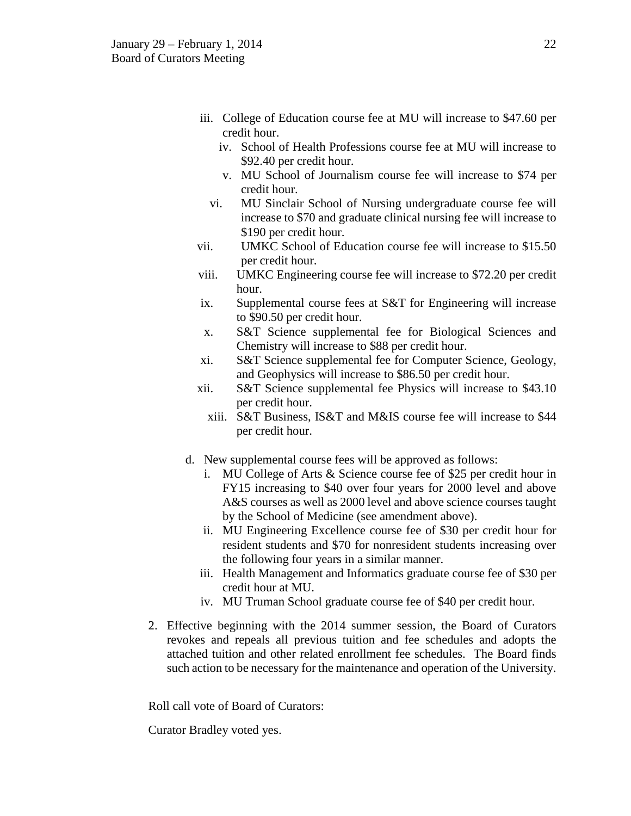- iii. College of Education course fee at MU will increase to \$47.60 per credit hour.
	- iv. School of Health Professions course fee at MU will increase to \$92.40 per credit hour.
	- v. MU School of Journalism course fee will increase to \$74 per credit hour.
	- vi. MU Sinclair School of Nursing undergraduate course fee will increase to \$70 and graduate clinical nursing fee will increase to \$190 per credit hour.
- vii. UMKC School of Education course fee will increase to \$15.50 per credit hour.
- viii. UMKC Engineering course fee will increase to \$72.20 per credit hour.
- ix. Supplemental course fees at S&T for Engineering will increase to \$90.50 per credit hour.
- x. S&T Science supplemental fee for Biological Sciences and Chemistry will increase to \$88 per credit hour.
- xi. S&T Science supplemental fee for Computer Science, Geology, and Geophysics will increase to \$86.50 per credit hour.
- xii. S&T Science supplemental fee Physics will increase to \$43.10 per credit hour.
	- xiii. S&T Business, IS&T and M&IS course fee will increase to \$44 per credit hour.
- d. New supplemental course fees will be approved as follows:
	- i. MU College of Arts & Science course fee of \$25 per credit hour in FY15 increasing to \$40 over four years for 2000 level and above A&S courses as well as 2000 level and above science courses taught by the School of Medicine (see amendment above).
	- ii. MU Engineering Excellence course fee of \$30 per credit hour for resident students and \$70 for nonresident students increasing over the following four years in a similar manner.
	- iii. Health Management and Informatics graduate course fee of \$30 per credit hour at MU.
	- iv. MU Truman School graduate course fee of \$40 per credit hour.
- 2. Effective beginning with the 2014 summer session, the Board of Curators revokes and repeals all previous tuition and fee schedules and adopts the attached tuition and other related enrollment fee schedules. The Board finds such action to be necessary for the maintenance and operation of the University.

Roll call vote of Board of Curators:

Curator Bradley voted yes.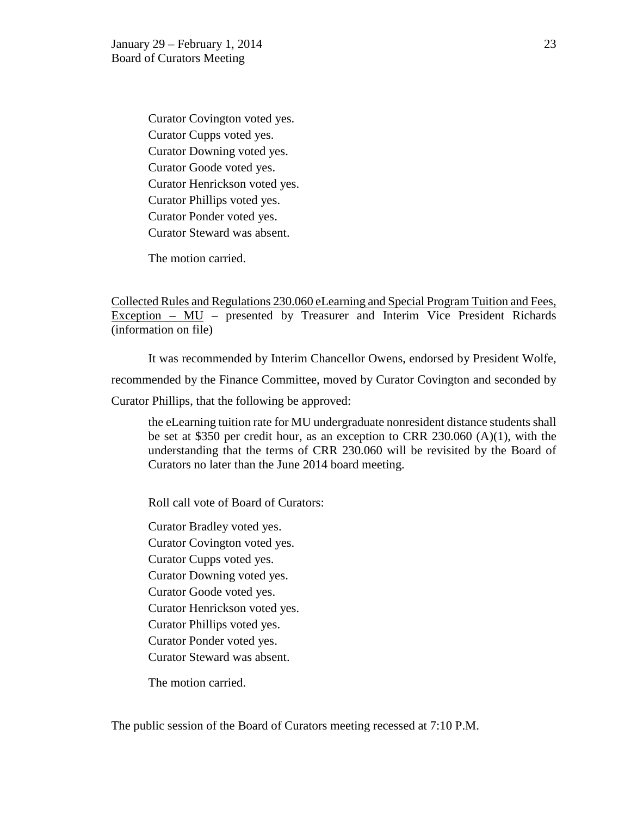Curator Covington voted yes. Curator Cupps voted yes. Curator Downing voted yes. Curator Goode voted yes. Curator Henrickson voted yes. Curator Phillips voted yes. Curator Ponder voted yes. Curator Steward was absent.

The motion carried.

Collected Rules and Regulations 230.060 eLearning and Special Program Tuition and Fees, Exception – MU – presented by Treasurer and Interim Vice President Richards (information on file)

It was recommended by Interim Chancellor Owens, endorsed by President Wolfe, recommended by the Finance Committee, moved by Curator Covington and seconded by

Curator Phillips, that the following be approved:

the eLearning tuition rate for MU undergraduate nonresident distance students shall be set at \$350 per credit hour, as an exception to CRR 230.060 (A)(1), with the understanding that the terms of CRR 230.060 will be revisited by the Board of Curators no later than the June 2014 board meeting.

Roll call vote of Board of Curators:

Curator Bradley voted yes.

Curator Covington voted yes.

Curator Cupps voted yes.

Curator Downing voted yes.

Curator Goode voted yes.

Curator Henrickson voted yes.

Curator Phillips voted yes.

Curator Ponder voted yes.

Curator Steward was absent.

The motion carried.

The public session of the Board of Curators meeting recessed at 7:10 P.M.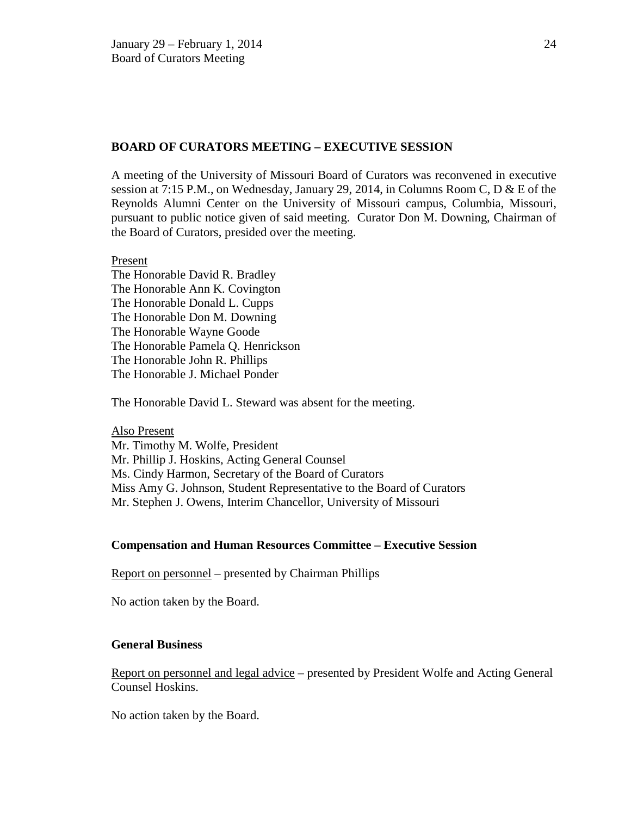## **BOARD OF CURATORS MEETING – EXECUTIVE SESSION**

A meeting of the University of Missouri Board of Curators was reconvened in executive session at 7:15 P.M., on Wednesday, January 29, 2014, in Columns Room C, D & E of the Reynolds Alumni Center on the University of Missouri campus, Columbia, Missouri, pursuant to public notice given of said meeting. Curator Don M. Downing, Chairman of the Board of Curators, presided over the meeting.

### Present

The Honorable David R. Bradley The Honorable Ann K. Covington The Honorable Donald L. Cupps The Honorable Don M. Downing The Honorable Wayne Goode The Honorable Pamela Q. Henrickson The Honorable John R. Phillips The Honorable J. Michael Ponder

The Honorable David L. Steward was absent for the meeting.

Also Present Mr. Timothy M. Wolfe, President Mr. Phillip J. Hoskins, Acting General Counsel Ms. Cindy Harmon, Secretary of the Board of Curators Miss Amy G. Johnson, Student Representative to the Board of Curators Mr. Stephen J. Owens, Interim Chancellor, University of Missouri

## **Compensation and Human Resources Committee – Executive Session**

Report on personnel – presented by Chairman Phillips

No action taken by the Board.

### **General Business**

Report on personnel and legal advice – presented by President Wolfe and Acting General Counsel Hoskins.

No action taken by the Board.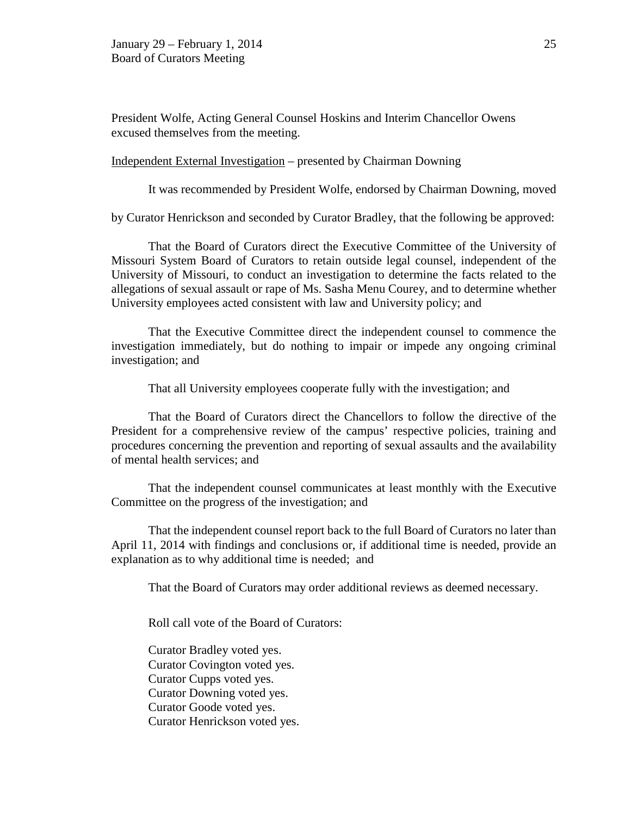President Wolfe, Acting General Counsel Hoskins and Interim Chancellor Owens excused themselves from the meeting.

### Independent External Investigation – presented by Chairman Downing

It was recommended by President Wolfe, endorsed by Chairman Downing*,* moved

by Curator Henrickson and seconded by Curator Bradley, that the following be approved:

That the Board of Curators direct the Executive Committee of the University of Missouri System Board of Curators to retain outside legal counsel, independent of the University of Missouri, to conduct an investigation to determine the facts related to the allegations of sexual assault or rape of Ms. Sasha Menu Courey, and to determine whether University employees acted consistent with law and University policy; and

That the Executive Committee direct the independent counsel to commence the investigation immediately, but do nothing to impair or impede any ongoing criminal investigation; and

That all University employees cooperate fully with the investigation; and

That the Board of Curators direct the Chancellors to follow the directive of the President for a comprehensive review of the campus' respective policies, training and procedures concerning the prevention and reporting of sexual assaults and the availability of mental health services; and

That the independent counsel communicates at least monthly with the Executive Committee on the progress of the investigation; and

That the independent counsel report back to the full Board of Curators no later than April 11, 2014 with findings and conclusions or, if additional time is needed, provide an explanation as to why additional time is needed; and

That the Board of Curators may order additional reviews as deemed necessary.

Roll call vote of the Board of Curators:

Curator Bradley voted yes. Curator Covington voted yes. Curator Cupps voted yes. Curator Downing voted yes. Curator Goode voted yes. Curator Henrickson voted yes.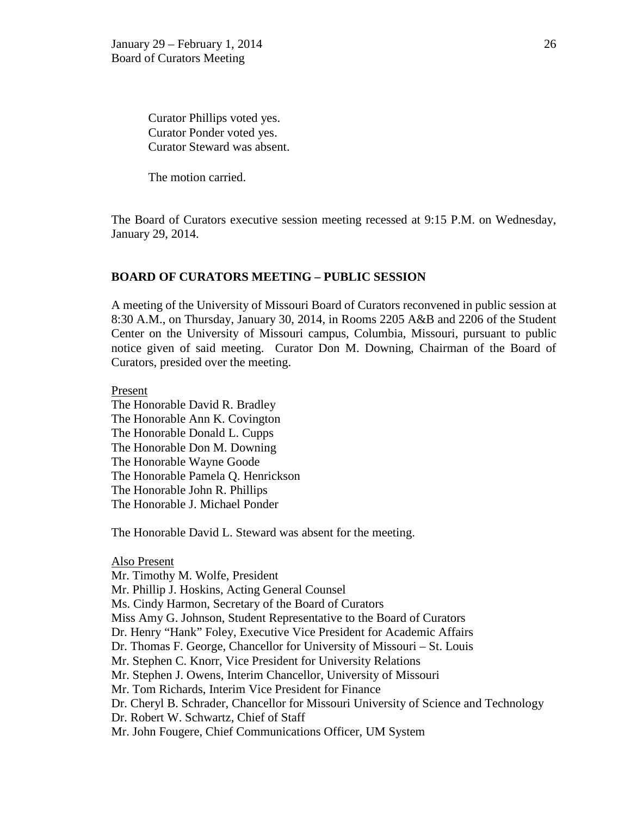Curator Phillips voted yes. Curator Ponder voted yes. Curator Steward was absent.

The motion carried.

The Board of Curators executive session meeting recessed at 9:15 P.M. on Wednesday, January 29, 2014.

## **BOARD OF CURATORS MEETING – PUBLIC SESSION**

A meeting of the University of Missouri Board of Curators reconvened in public session at 8:30 A.M., on Thursday, January 30, 2014, in Rooms 2205 A&B and 2206 of the Student Center on the University of Missouri campus, Columbia, Missouri, pursuant to public notice given of said meeting. Curator Don M. Downing, Chairman of the Board of Curators, presided over the meeting.

Present

The Honorable David R. Bradley The Honorable Ann K. Covington The Honorable Donald L. Cupps The Honorable Don M. Downing The Honorable Wayne Goode The Honorable Pamela Q. Henrickson The Honorable John R. Phillips The Honorable J. Michael Ponder

The Honorable David L. Steward was absent for the meeting.

#### Also Present

Mr. Timothy M. Wolfe, President Mr. Phillip J. Hoskins, Acting General Counsel Ms. Cindy Harmon, Secretary of the Board of Curators Miss Amy G. Johnson, Student Representative to the Board of Curators Dr. Henry "Hank" Foley, Executive Vice President for Academic Affairs Dr. Thomas F. George, Chancellor for University of Missouri – St. Louis Mr. Stephen C. Knorr, Vice President for University Relations Mr. Stephen J. Owens, Interim Chancellor, University of Missouri Mr. Tom Richards, Interim Vice President for Finance Dr. Cheryl B. Schrader, Chancellor for Missouri University of Science and Technology Dr. Robert W. Schwartz, Chief of Staff Mr. John Fougere, Chief Communications Officer, UM System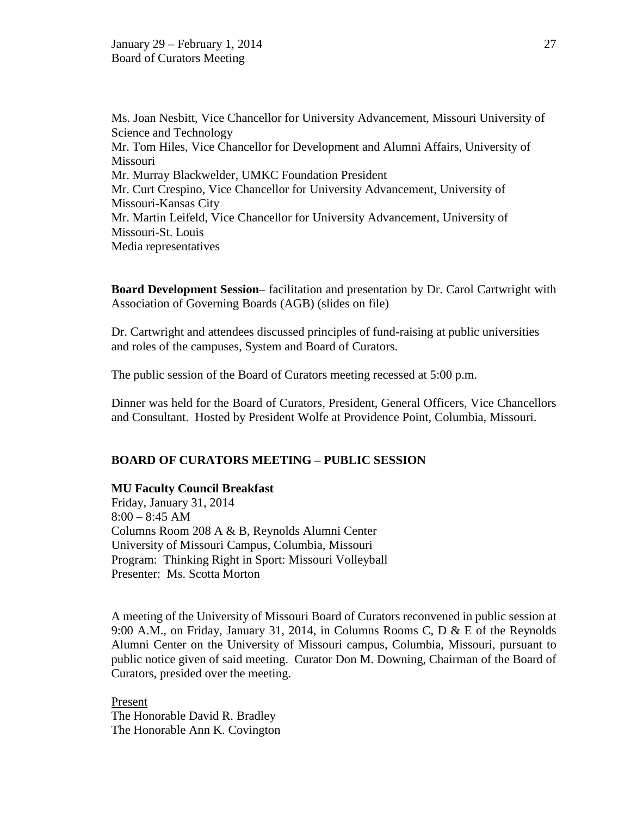Ms. Joan Nesbitt, Vice Chancellor for University Advancement, Missouri University of Science and Technology Mr. Tom Hiles, Vice Chancellor for Development and Alumni Affairs, University of Missouri Mr. Murray Blackwelder, UMKC Foundation President Mr. Curt Crespino, Vice Chancellor for University Advancement, University of Missouri-Kansas City Mr. Martin Leifeld, Vice Chancellor for University Advancement, University of Missouri-St. Louis Media representatives

**Board Development Session**– facilitation and presentation by Dr. Carol Cartwright with Association of Governing Boards (AGB) (slides on file)

Dr. Cartwright and attendees discussed principles of fund-raising at public universities and roles of the campuses, System and Board of Curators.

The public session of the Board of Curators meeting recessed at 5:00 p.m.

Dinner was held for the Board of Curators, President, General Officers, Vice Chancellors and Consultant. Hosted by President Wolfe at Providence Point, Columbia, Missouri.

## **BOARD OF CURATORS MEETING – PUBLIC SESSION**

## **MU Faculty Council Breakfast**

Friday, January 31, 2014  $8:00 - 8:45$  AM Columns Room 208 A & B, Reynolds Alumni Center University of Missouri Campus, Columbia, Missouri Program: Thinking Right in Sport: Missouri Volleyball Presenter: Ms. Scotta Morton

A meeting of the University of Missouri Board of Curators reconvened in public session at 9:00 A.M., on Friday, January 31, 2014, in Columns Rooms C, D & E of the Reynolds Alumni Center on the University of Missouri campus, Columbia, Missouri, pursuant to public notice given of said meeting. Curator Don M. Downing, Chairman of the Board of Curators, presided over the meeting.

Present The Honorable David R. Bradley The Honorable Ann K. Covington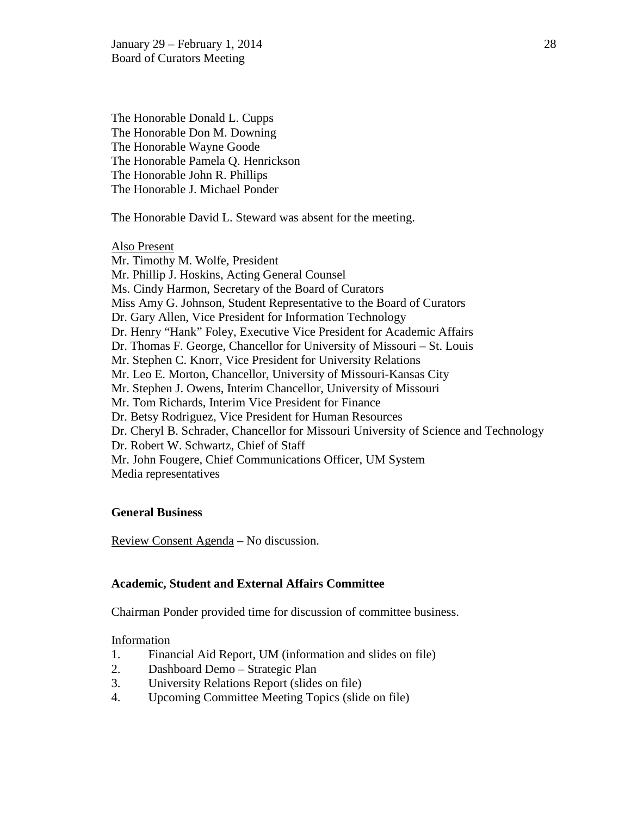The Honorable Donald L. Cupps The Honorable Don M. Downing The Honorable Wayne Goode The Honorable Pamela Q. Henrickson The Honorable John R. Phillips The Honorable J. Michael Ponder

The Honorable David L. Steward was absent for the meeting.

Also Present Mr. Timothy M. Wolfe, President Mr. Phillip J. Hoskins, Acting General Counsel Ms. Cindy Harmon, Secretary of the Board of Curators Miss Amy G. Johnson, Student Representative to the Board of Curators Dr. Gary Allen, Vice President for Information Technology Dr. Henry "Hank" Foley, Executive Vice President for Academic Affairs Dr. Thomas F. George, Chancellor for University of Missouri – St. Louis Mr. Stephen C. Knorr, Vice President for University Relations Mr. Leo E. Morton, Chancellor, University of Missouri-Kansas City Mr. Stephen J. Owens, Interim Chancellor, University of Missouri Mr. Tom Richards, Interim Vice President for Finance Dr. Betsy Rodriguez, Vice President for Human Resources Dr. Cheryl B. Schrader, Chancellor for Missouri University of Science and Technology Dr. Robert W. Schwartz, Chief of Staff Mr. John Fougere, Chief Communications Officer, UM System Media representatives

## **General Business**

Review Consent Agenda – No discussion.

## **Academic, Student and External Affairs Committee**

Chairman Ponder provided time for discussion of committee business.

## Information

- 1. Financial Aid Report, UM (information and slides on file)
- 2. Dashboard Demo Strategic Plan
- 3. University Relations Report (slides on file)
- 4. Upcoming Committee Meeting Topics (slide on file)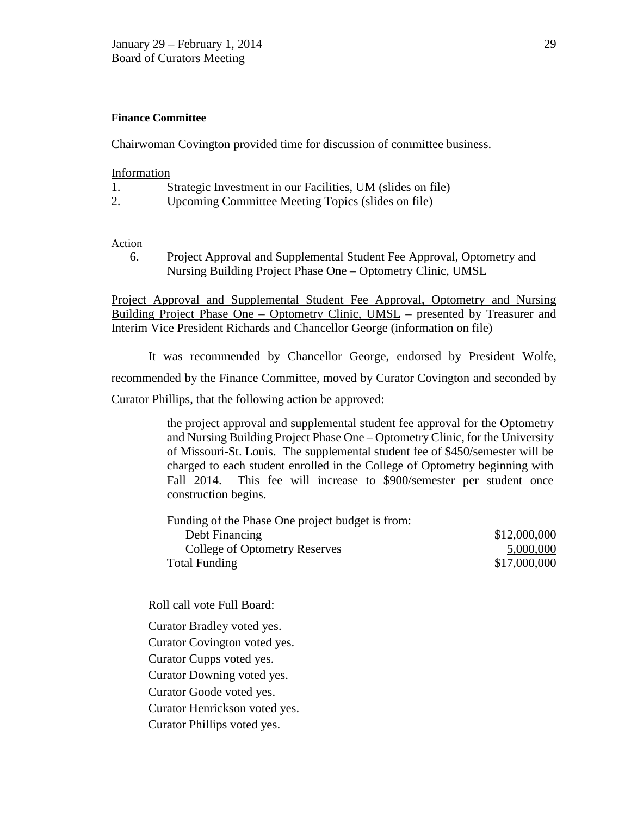## **Finance Committee**

Chairwoman Covington provided time for discussion of committee business.

Information

- 1. Strategic Investment in our Facilities, UM (slides on file)
- 2. Upcoming Committee Meeting Topics (slides on file)

## Action

6. Project Approval and Supplemental Student Fee Approval, Optometry and Nursing Building Project Phase One – Optometry Clinic, UMSL

Project Approval and Supplemental Student Fee Approval, Optometry and Nursing Building Project Phase One – Optometry Clinic, UMSL – presented by Treasurer and Interim Vice President Richards and Chancellor George (information on file)

It was recommended by Chancellor George, endorsed by President Wolfe, recommended by the Finance Committee, moved by Curator Covington and seconded by Curator Phillips, that the following action be approved:

> the project approval and supplemental student fee approval for the Optometry and Nursing Building Project Phase One – Optometry Clinic, for the University of Missouri-St. Louis. The supplemental student fee of \$450/semester will be charged to each student enrolled in the College of Optometry beginning with Fall 2014. This fee will increase to \$900/semester per student once construction begins.

Funding of the Phase One project budget is from:

| Debt Financing                       | \$12,000,000 |
|--------------------------------------|--------------|
| <b>College of Optometry Reserves</b> | 5,000,000    |
| Total Funding                        | \$17,000,000 |

Roll call vote Full Board:

Curator Bradley voted yes. Curator Covington voted yes. Curator Cupps voted yes. Curator Downing voted yes. Curator Goode voted yes. Curator Henrickson voted yes. Curator Phillips voted yes.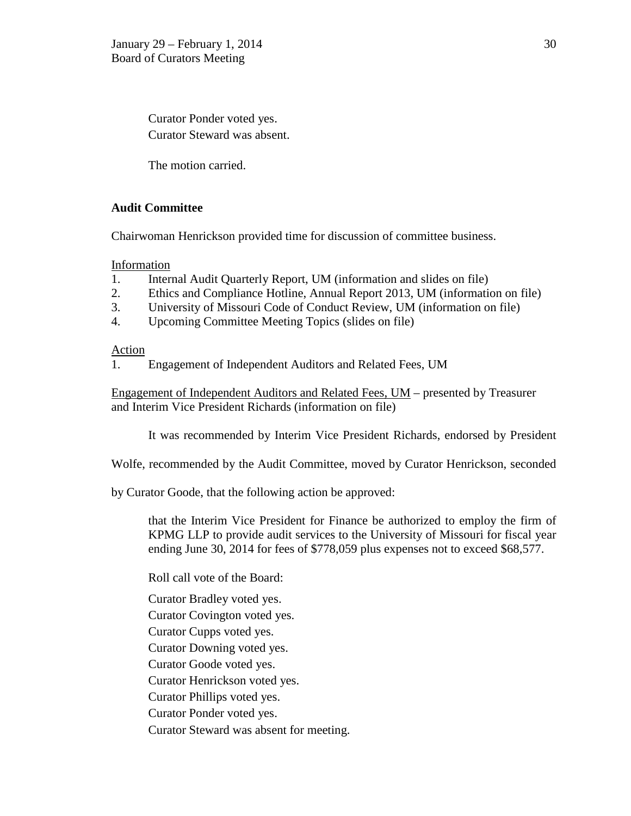Curator Ponder voted yes. Curator Steward was absent.

The motion carried.

## **Audit Committee**

Chairwoman Henrickson provided time for discussion of committee business.

Information

- 1. Internal Audit Quarterly Report, UM (information and slides on file)
- 2. Ethics and Compliance Hotline, Annual Report 2013, UM (information on file)
- 3. University of Missouri Code of Conduct Review, UM (information on file)
- 4. Upcoming Committee Meeting Topics (slides on file)

## Action

1. Engagement of Independent Auditors and Related Fees, UM

Engagement of Independent Auditors and Related Fees, UM – presented by Treasurer and Interim Vice President Richards (information on file)

It was recommended by Interim Vice President Richards, endorsed by President

Wolfe, recommended by the Audit Committee, moved by Curator Henrickson, seconded

by Curator Goode, that the following action be approved:

that the Interim Vice President for Finance be authorized to employ the firm of KPMG LLP to provide audit services to the University of Missouri for fiscal year ending June 30, 2014 for fees of \$778,059 plus expenses not to exceed \$68,577.

Roll call vote of the Board:

Curator Bradley voted yes.

Curator Covington voted yes.

Curator Cupps voted yes.

Curator Downing voted yes.

Curator Goode voted yes.

Curator Henrickson voted yes.

Curator Phillips voted yes.

Curator Ponder voted yes.

Curator Steward was absent for meeting.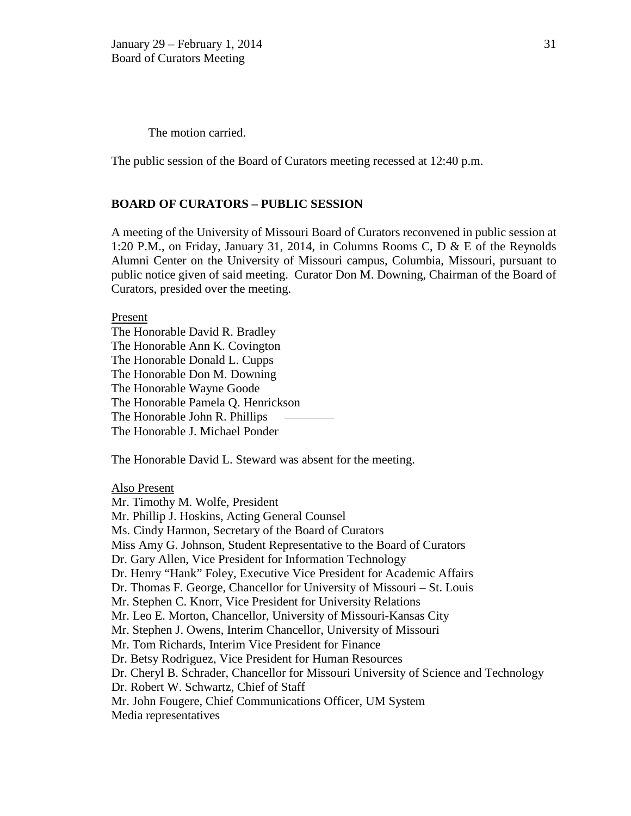The motion carried.

The public session of the Board of Curators meeting recessed at 12:40 p.m.

## **BOARD OF CURATORS – PUBLIC SESSION**

A meeting of the University of Missouri Board of Curators reconvened in public session at 1:20 P.M., on Friday, January 31, 2014, in Columns Rooms C, D & E of the Reynolds Alumni Center on the University of Missouri campus, Columbia, Missouri, pursuant to public notice given of said meeting. Curator Don M. Downing, Chairman of the Board of Curators, presided over the meeting.

Present

The Honorable David R. Bradley The Honorable Ann K. Covington The Honorable Donald L. Cupps The Honorable Don M. Downing The Honorable Wayne Goode The Honorable Pamela Q. Henrickson The Honorable John R. Phillips The Honorable J. Michael Ponder

The Honorable David L. Steward was absent for the meeting.

Also Present Mr. Timothy M. Wolfe, President Mr. Phillip J. Hoskins, Acting General Counsel Ms. Cindy Harmon, Secretary of the Board of Curators Miss Amy G. Johnson, Student Representative to the Board of Curators Dr. Gary Allen, Vice President for Information Technology Dr. Henry "Hank" Foley, Executive Vice President for Academic Affairs Dr. Thomas F. George, Chancellor for University of Missouri – St. Louis Mr. Stephen C. Knorr, Vice President for University Relations Mr. Leo E. Morton, Chancellor, University of Missouri-Kansas City Mr. Stephen J. Owens, Interim Chancellor, University of Missouri Mr. Tom Richards, Interim Vice President for Finance Dr. Betsy Rodriguez, Vice President for Human Resources Dr. Cheryl B. Schrader, Chancellor for Missouri University of Science and Technology Dr. Robert W. Schwartz, Chief of Staff Mr. John Fougere, Chief Communications Officer, UM System Media representatives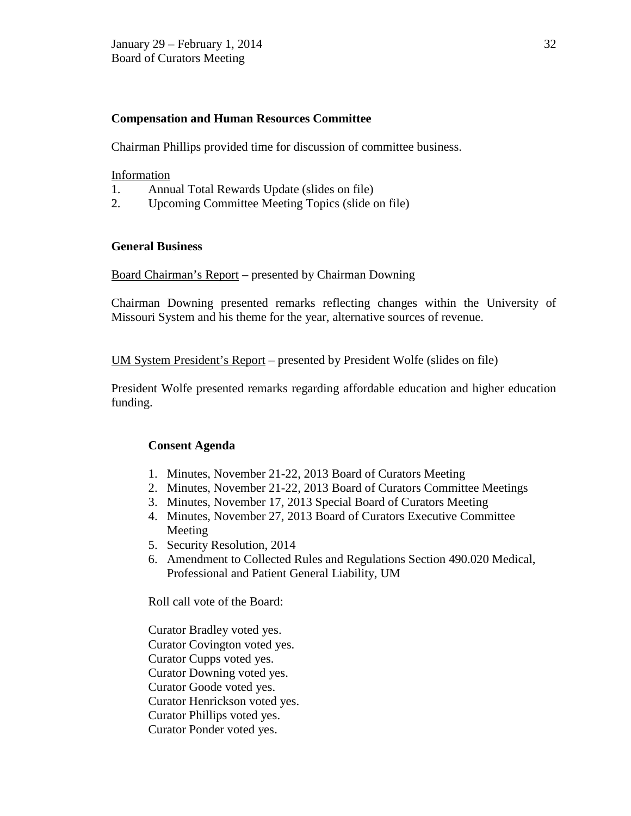## **Compensation and Human Resources Committee**

Chairman Phillips provided time for discussion of committee business.

## Information

- 1. Annual Total Rewards Update (slides on file)
- 2. Upcoming Committee Meeting Topics (slide on file)

## **General Business**

Board Chairman's Report – presented by Chairman Downing

Chairman Downing presented remarks reflecting changes within the University of Missouri System and his theme for the year, alternative sources of revenue.

UM System President's Report – presented by President Wolfe (slides on file)

President Wolfe presented remarks regarding affordable education and higher education funding.

## **Consent Agenda**

- 1. Minutes, November 21-22, 2013 Board of Curators Meeting
- 2. Minutes, November 21-22, 2013 Board of Curators Committee Meetings
- 3. Minutes, November 17, 2013 Special Board of Curators Meeting
- 4. Minutes, November 27, 2013 Board of Curators Executive Committee Meeting
- 5. Security Resolution, 2014
- 6. Amendment to Collected Rules and Regulations Section 490.020 Medical, Professional and Patient General Liability, UM

Roll call vote of the Board:

Curator Bradley voted yes. Curator Covington voted yes. Curator Cupps voted yes. Curator Downing voted yes. Curator Goode voted yes. Curator Henrickson voted yes. Curator Phillips voted yes. Curator Ponder voted yes.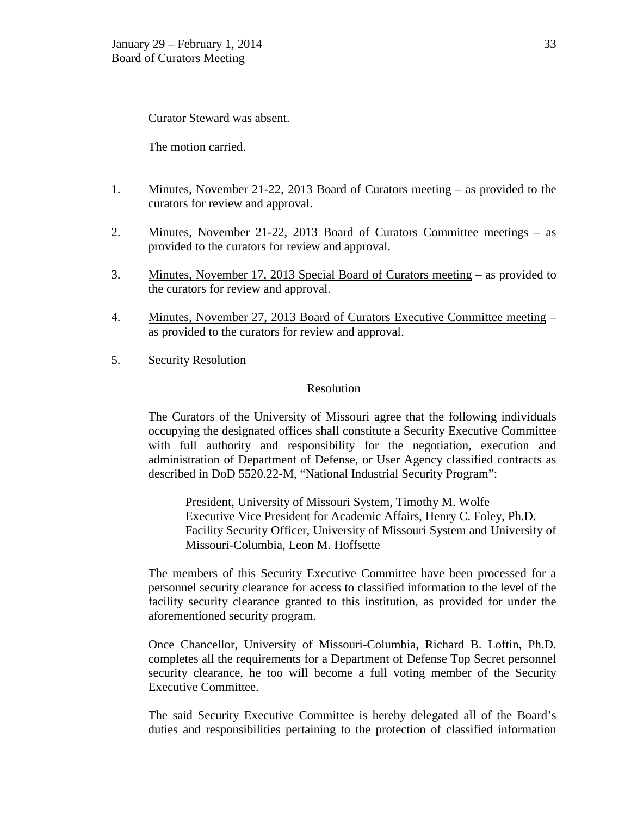Curator Steward was absent.

The motion carried.

- 1. Minutes, November 21-22, 2013 Board of Curators meeting as provided to the curators for review and approval.
- 2. Minutes, November 21-22, 2013 Board of Curators Committee meetings as provided to the curators for review and approval.
- 3. Minutes, November 17, 2013 Special Board of Curators meeting as provided to the curators for review and approval.
- 4. Minutes, November 27, 2013 Board of Curators Executive Committee meeting as provided to the curators for review and approval.
- 5. Security Resolution

## Resolution

The Curators of the University of Missouri agree that the following individuals occupying the designated offices shall constitute a Security Executive Committee with full authority and responsibility for the negotiation, execution and administration of Department of Defense, or User Agency classified contracts as described in DoD 5520.22-M, "National Industrial Security Program":

President, University of Missouri System, Timothy M. Wolfe Executive Vice President for Academic Affairs, Henry C. Foley, Ph.D. Facility Security Officer, University of Missouri System and University of Missouri-Columbia, Leon M. Hoffsette

The members of this Security Executive Committee have been processed for a personnel security clearance for access to classified information to the level of the facility security clearance granted to this institution, as provided for under the aforementioned security program.

Once Chancellor, University of Missouri-Columbia, Richard B. Loftin, Ph.D. completes all the requirements for a Department of Defense Top Secret personnel security clearance, he too will become a full voting member of the Security Executive Committee.

The said Security Executive Committee is hereby delegated all of the Board's duties and responsibilities pertaining to the protection of classified information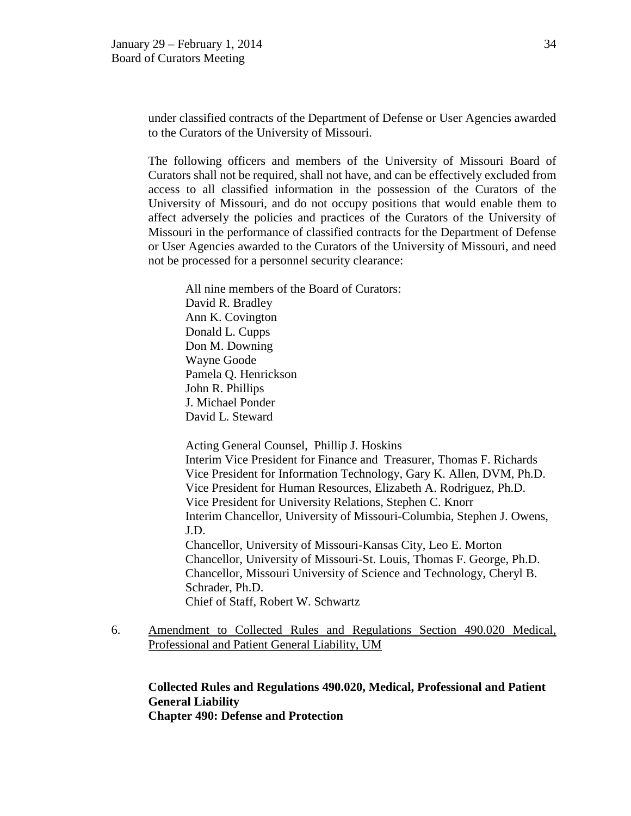under classified contracts of the Department of Defense or User Agencies awarded to the Curators of the University of Missouri.

The following officers and members of the University of Missouri Board of Curators shall not be required, shall not have, and can be effectively excluded from access to all classified information in the possession of the Curators of the University of Missouri, and do not occupy positions that would enable them to affect adversely the policies and practices of the Curators of the University of Missouri in the performance of classified contracts for the Department of Defense or User Agencies awarded to the Curators of the University of Missouri, and need not be processed for a personnel security clearance:

All nine members of the Board of Curators: [David R. Bradley](http://www.umsystem.edu/curators/members/bradleyd) Ann K. Covington [Donald L. Cupps](http://www.umsystem.edu/curators/members/cuppsd) [Don M. Downing](http://www.umsystem.edu/curators/members/downingd) [Wayne Goode](http://www.umsystem.edu/curators/members/goodew) Pamela Q. Henrickson John R. Phillips J. Michael Ponder [David L. Steward](http://www.umsystem.edu/curators/members/stewardd)

Acting General Counsel, Phillip J. Hoskins Interim Vice President for Finance and Treasurer, Thomas F. Richards Vice President for Information Technology, Gary K. Allen, DVM, Ph.D. Vice President for Human Resources, Elizabeth A. Rodriguez, Ph.D. Vice President for University Relations, Stephen C. Knorr Interim Chancellor, University of Missouri-Columbia, Stephen J. Owens, J.D. Chancellor, University of Missouri-Kansas City, Leo E. Morton Chancellor, University of Missouri-St. Louis, Thomas F. George, Ph.D. Chancellor, Missouri University of Science and Technology, Cheryl B. Schrader, Ph.D. Chief of Staff, Robert W. Schwartz

6. Amendment to Collected Rules and Regulations Section 490.020 Medical, Professional and Patient General Liability, UM

**Collected Rules and Regulations 490.020, Medical, Professional and Patient General Liability Chapter 490: Defense and Protection**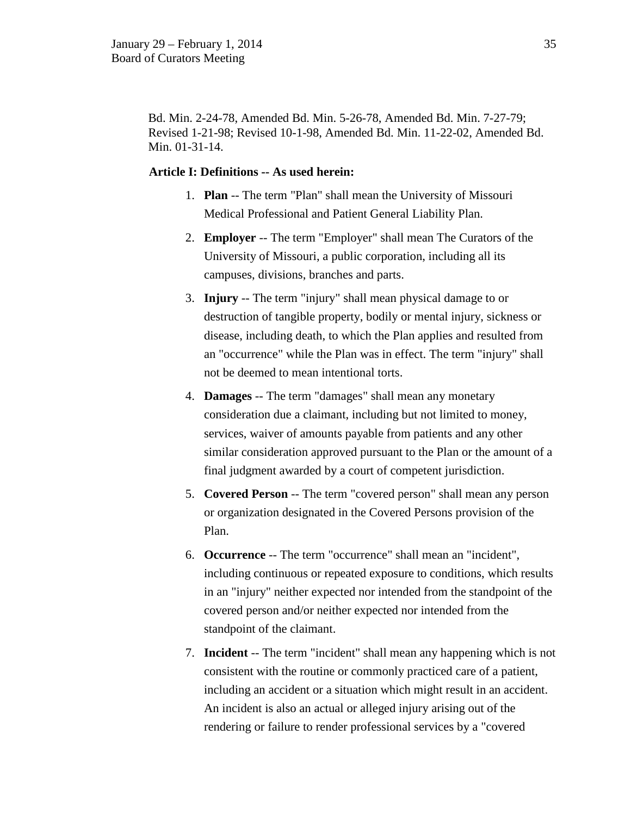Bd. Min. 2-24-78, Amended Bd. Min. 5-26-78, Amended Bd. Min. 7-27-79; Revised 1-21-98; Revised 10-1-98, Amended Bd. Min. 11-22-02, Amended Bd. Min. 01-31-14.

## **Article I: Definitions -- As used herein:**

- 1. **Plan** -- The term "Plan" shall mean the University of Missouri Medical Professional and Patient General Liability Plan.
- 2. **Employer** -- The term "Employer" shall mean The Curators of the University of Missouri, a public corporation, including all its campuses, divisions, branches and parts.
- 3. **Injury** -- The term "injury" shall mean physical damage to or destruction of tangible property, bodily or mental injury, sickness or disease, including death, to which the Plan applies and resulted from an "occurrence" while the Plan was in effect. The term "injury" shall not be deemed to mean intentional torts.
- 4. **Damages** -- The term "damages" shall mean any monetary consideration due a claimant, including but not limited to money, services, waiver of amounts payable from patients and any other similar consideration approved pursuant to the Plan or the amount of a final judgment awarded by a court of competent jurisdiction.
- 5. **Covered Person** -- The term "covered person" shall mean any person or organization designated in the Covered Persons provision of the Plan.
- 6. **Occurrence** -- The term "occurrence" shall mean an "incident", including continuous or repeated exposure to conditions, which results in an "injury" neither expected nor intended from the standpoint of the covered person and/or neither expected nor intended from the standpoint of the claimant.
- 7. **Incident** -- The term "incident" shall mean any happening which is not consistent with the routine or commonly practiced care of a patient, including an accident or a situation which might result in an accident. An incident is also an actual or alleged injury arising out of the rendering or failure to render professional services by a "covered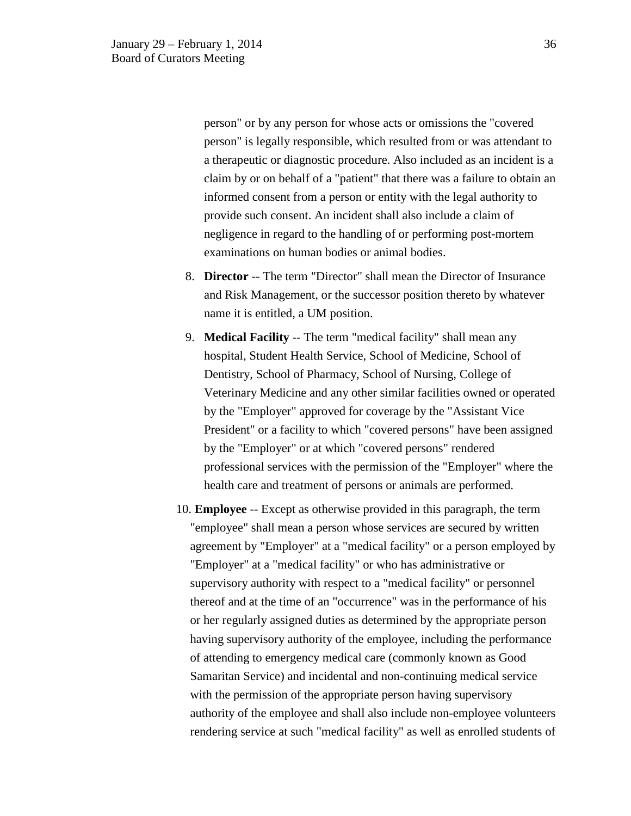person" or by any person for whose acts or omissions the "covered person" is legally responsible, which resulted from or was attendant to a therapeutic or diagnostic procedure. Also included as an incident is a claim by or on behalf of a "patient" that there was a failure to obtain an informed consent from a person or entity with the legal authority to provide such consent. An incident shall also include a claim of negligence in regard to the handling of or performing post-mortem examinations on human bodies or animal bodies.

- 8. **Director** -- The term "Director" shall mean the Director of Insurance and Risk Management, or the successor position thereto by whatever name it is entitled, a UM position.
- 9. **Medical Facility** -- The term "medical facility" shall mean any hospital, Student Health Service, School of Medicine, School of Dentistry, School of Pharmacy, School of Nursing, College of Veterinary Medicine and any other similar facilities owned or operated by the "Employer" approved for coverage by the "Assistant Vice President" or a facility to which "covered persons" have been assigned by the "Employer" or at which "covered persons" rendered professional services with the permission of the "Employer" where the health care and treatment of persons or animals are performed.
- 10. **Employee** -- Except as otherwise provided in this paragraph, the term "employee" shall mean a person whose services are secured by written agreement by "Employer" at a "medical facility" or a person employed by "Employer" at a "medical facility" or who has administrative or supervisory authority with respect to a "medical facility" or personnel thereof and at the time of an "occurrence" was in the performance of his or her regularly assigned duties as determined by the appropriate person having supervisory authority of the employee, including the performance of attending to emergency medical care (commonly known as Good Samaritan Service) and incidental and non-continuing medical service with the permission of the appropriate person having supervisory authority of the employee and shall also include non-employee volunteers rendering service at such "medical facility" as well as enrolled students of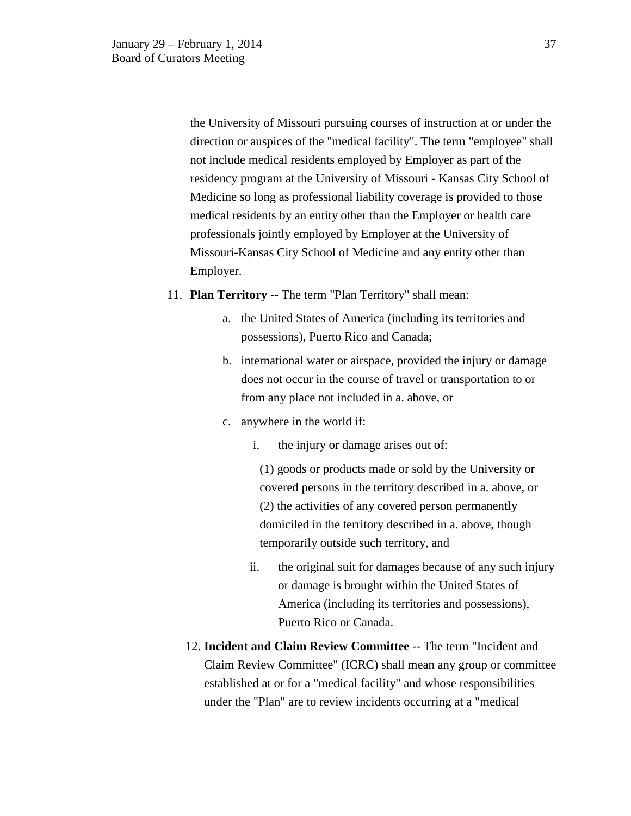the University of Missouri pursuing courses of instruction at or under the direction or auspices of the "medical facility". The term "employee" shall not include medical residents employed by Employer as part of the residency program at the University of Missouri - Kansas City School of Medicine so long as professional liability coverage is provided to those medical residents by an entity other than the Employer or health care professionals jointly employed by Employer at the University of Missouri-Kansas City School of Medicine and any entity other than Employer.

- 11. **Plan Territory** -- The term "Plan Territory" shall mean:
	- a. the United States of America (including its territories and possessions), Puerto Rico and Canada;
	- b. international water or airspace, provided the injury or damage does not occur in the course of travel or transportation to or from any place not included in a. above, or
	- c. anywhere in the world if:
		- i. the injury or damage arises out of:

(1) goods or products made or sold by the University or covered persons in the territory described in a. above, or (2) the activities of any covered person permanently domiciled in the territory described in a. above, though temporarily outside such territory, and

- ii. the original suit for damages because of any such injury or damage is brought within the United States of America (including its territories and possessions), Puerto Rico or Canada.
- 12. **Incident and Claim Review Committee** -- The term "Incident and Claim Review Committee" (ICRC) shall mean any group or committee established at or for a "medical facility" and whose responsibilities under the "Plan" are to review incidents occurring at a "medical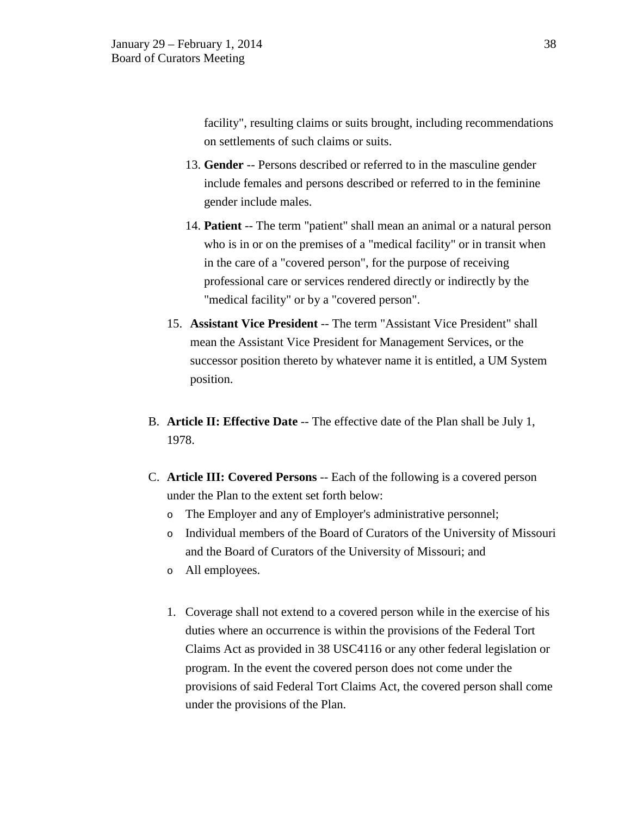facility", resulting claims or suits brought, including recommendations on settlements of such claims or suits.

- 13. **Gender** -- Persons described or referred to in the masculine gender include females and persons described or referred to in the feminine gender include males.
- 14. **Patient** -- The term "patient" shall mean an animal or a natural person who is in or on the premises of a "medical facility" or in transit when in the care of a "covered person", for the purpose of receiving professional care or services rendered directly or indirectly by the "medical facility" or by a "covered person".
- 15. **Assistant Vice President** -- The term "Assistant Vice President" shall mean the Assistant Vice President for Management Services, or the successor position thereto by whatever name it is entitled, a UM System position.
- B. **Article II: Effective Date** -- The effective date of the Plan shall be July 1, 1978.
- C. **Article III: Covered Persons** -- Each of the following is a covered person under the Plan to the extent set forth below:
	- o The Employer and any of Employer's administrative personnel;
	- o Individual members of the Board of Curators of the University of Missouri and the Board of Curators of the University of Missouri; and
	- o All employees.
	- 1. Coverage shall not extend to a covered person while in the exercise of his duties where an occurrence is within the provisions of the Federal Tort Claims Act as provided in 38 USC4116 or any other federal legislation or program. In the event the covered person does not come under the provisions of said Federal Tort Claims Act, the covered person shall come under the provisions of the Plan.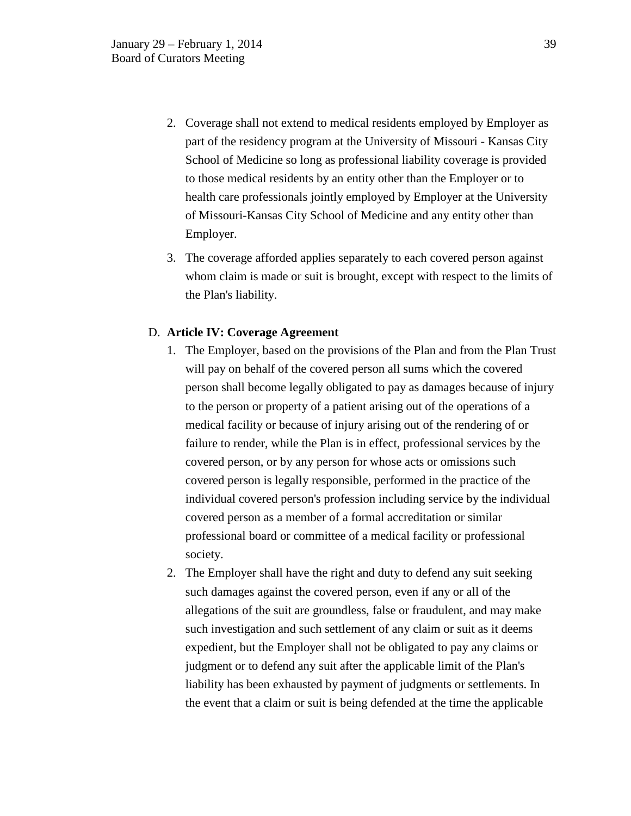- 2. Coverage shall not extend to medical residents employed by Employer as part of the residency program at the University of Missouri - Kansas City School of Medicine so long as professional liability coverage is provided to those medical residents by an entity other than the Employer or to health care professionals jointly employed by Employer at the University of Missouri-Kansas City School of Medicine and any entity other than Employer.
- 3. The coverage afforded applies separately to each covered person against whom claim is made or suit is brought, except with respect to the limits of the Plan's liability.

### D. **Article IV: Coverage Agreement**

- 1. The Employer, based on the provisions of the Plan and from the Plan Trust will pay on behalf of the covered person all sums which the covered person shall become legally obligated to pay as damages because of injury to the person or property of a patient arising out of the operations of a medical facility or because of injury arising out of the rendering of or failure to render, while the Plan is in effect, professional services by the covered person, or by any person for whose acts or omissions such covered person is legally responsible, performed in the practice of the individual covered person's profession including service by the individual covered person as a member of a formal accreditation or similar professional board or committee of a medical facility or professional society.
- 2. The Employer shall have the right and duty to defend any suit seeking such damages against the covered person, even if any or all of the allegations of the suit are groundless, false or fraudulent, and may make such investigation and such settlement of any claim or suit as it deems expedient, but the Employer shall not be obligated to pay any claims or judgment or to defend any suit after the applicable limit of the Plan's liability has been exhausted by payment of judgments or settlements. In the event that a claim or suit is being defended at the time the applicable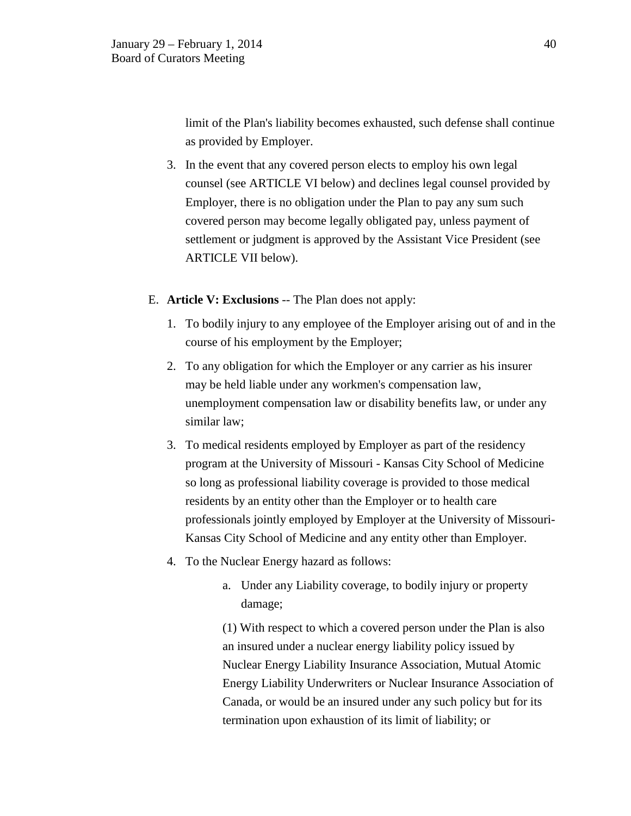limit of the Plan's liability becomes exhausted, such defense shall continue as provided by Employer.

3. In the event that any covered person elects to employ his own legal counsel (see ARTICLE VI below) and declines legal counsel provided by Employer, there is no obligation under the Plan to pay any sum such covered person may become legally obligated pay, unless payment of settlement or judgment is approved by the Assistant Vice President (see ARTICLE VII below).

## E. **Article V: Exclusions** -- The Plan does not apply:

- 1. To bodily injury to any employee of the Employer arising out of and in the course of his employment by the Employer;
- 2. To any obligation for which the Employer or any carrier as his insurer may be held liable under any workmen's compensation law, unemployment compensation law or disability benefits law, or under any similar law;
- 3. To medical residents employed by Employer as part of the residency program at the University of Missouri - Kansas City School of Medicine so long as professional liability coverage is provided to those medical residents by an entity other than the Employer or to health care professionals jointly employed by Employer at the University of Missouri-Kansas City School of Medicine and any entity other than Employer.
- 4. To the Nuclear Energy hazard as follows:
	- a. Under any Liability coverage, to bodily injury or property damage;

(1) With respect to which a covered person under the Plan is also an insured under a nuclear energy liability policy issued by Nuclear Energy Liability Insurance Association, Mutual Atomic Energy Liability Underwriters or Nuclear Insurance Association of Canada, or would be an insured under any such policy but for its termination upon exhaustion of its limit of liability; or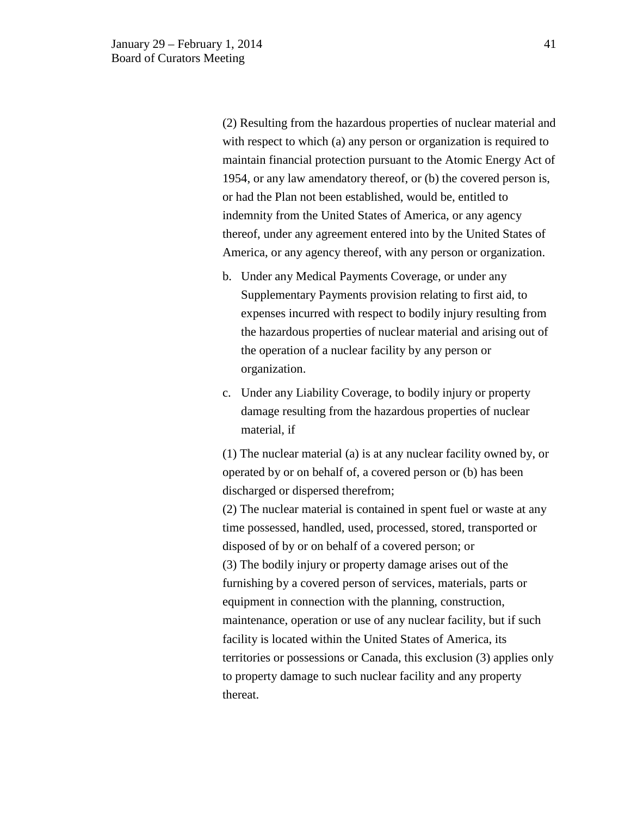(2) Resulting from the hazardous properties of nuclear material and with respect to which (a) any person or organization is required to maintain financial protection pursuant to the Atomic Energy Act of 1954, or any law amendatory thereof, or (b) the covered person is, or had the Plan not been established, would be, entitled to indemnity from the United States of America, or any agency thereof, under any agreement entered into by the United States of America, or any agency thereof, with any person or organization.

- b. Under any Medical Payments Coverage, or under any Supplementary Payments provision relating to first aid, to expenses incurred with respect to bodily injury resulting from the hazardous properties of nuclear material and arising out of the operation of a nuclear facility by any person or organization.
- c. Under any Liability Coverage, to bodily injury or property damage resulting from the hazardous properties of nuclear material, if

(1) The nuclear material (a) is at any nuclear facility owned by, or operated by or on behalf of, a covered person or (b) has been discharged or dispersed therefrom;

(2) The nuclear material is contained in spent fuel or waste at any time possessed, handled, used, processed, stored, transported or disposed of by or on behalf of a covered person; or (3) The bodily injury or property damage arises out of the furnishing by a covered person of services, materials, parts or equipment in connection with the planning, construction, maintenance, operation or use of any nuclear facility, but if such facility is located within the United States of America, its territories or possessions or Canada, this exclusion (3) applies only to property damage to such nuclear facility and any property thereat.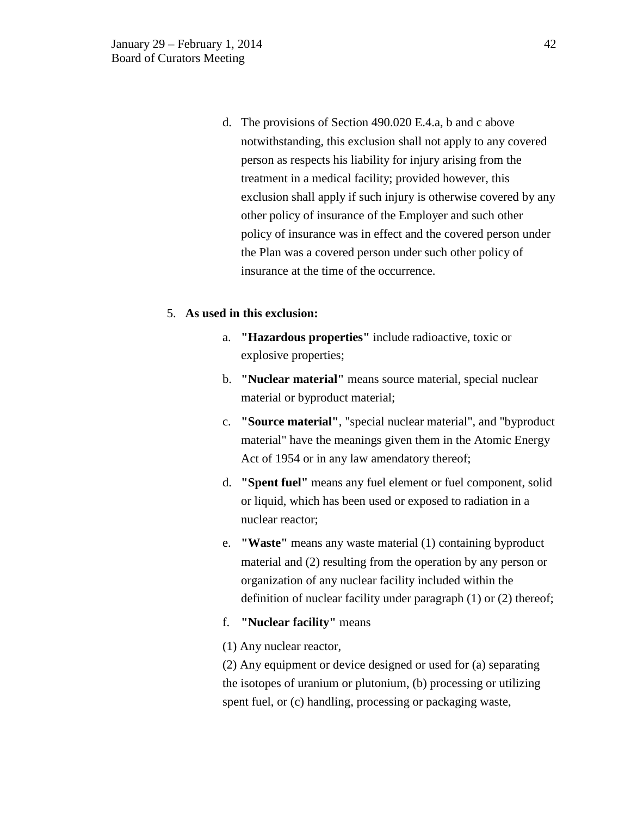d. The provisions of Section 490.020 E.4.a, b and c above notwithstanding, this exclusion shall not apply to any covered person as respects his liability for injury arising from the treatment in a medical facility; provided however, this exclusion shall apply if such injury is otherwise covered by any other policy of insurance of the Employer and such other policy of insurance was in effect and the covered person under the Plan was a covered person under such other policy of insurance at the time of the occurrence.

## 5. **As used in this exclusion:**

- a. **"Hazardous properties"** include radioactive, toxic or explosive properties;
- b. **"Nuclear material"** means source material, special nuclear material or byproduct material;
- c. **"Source material"**, "special nuclear material", and "byproduct material" have the meanings given them in the Atomic Energy Act of 1954 or in any law amendatory thereof;
- d. **"Spent fuel"** means any fuel element or fuel component, solid or liquid, which has been used or exposed to radiation in a nuclear reactor;
- e. **"Waste"** means any waste material (1) containing byproduct material and (2) resulting from the operation by any person or organization of any nuclear facility included within the definition of nuclear facility under paragraph (1) or (2) thereof;
- f. **"Nuclear facility"** means
- (1) Any nuclear reactor,

(2) Any equipment or device designed or used for (a) separating the isotopes of uranium or plutonium, (b) processing or utilizing spent fuel, or (c) handling, processing or packaging waste,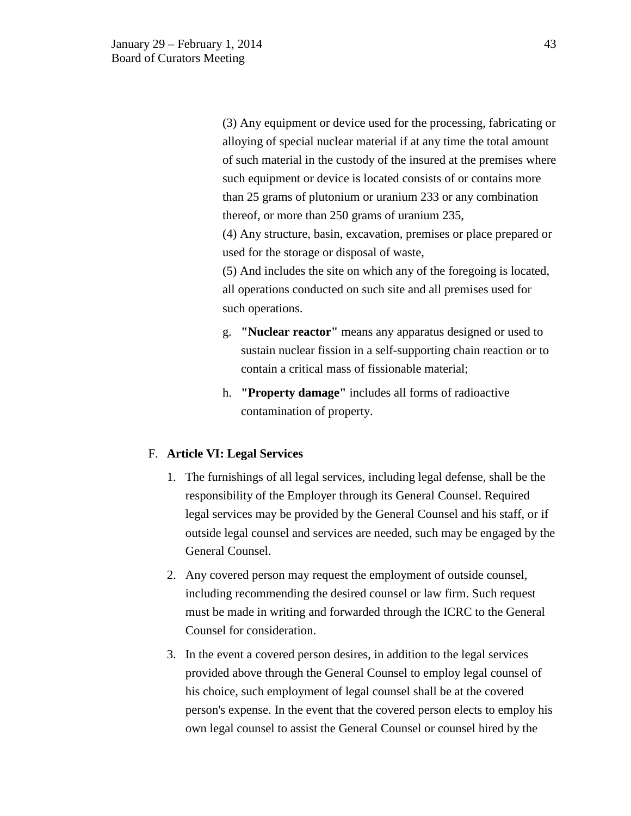(3) Any equipment or device used for the processing, fabricating or alloying of special nuclear material if at any time the total amount of such material in the custody of the insured at the premises where such equipment or device is located consists of or contains more than 25 grams of plutonium or uranium 233 or any combination thereof, or more than 250 grams of uranium 235,

(4) Any structure, basin, excavation, premises or place prepared or used for the storage or disposal of waste,

(5) And includes the site on which any of the foregoing is located, all operations conducted on such site and all premises used for such operations.

- g. **"Nuclear reactor"** means any apparatus designed or used to sustain nuclear fission in a self-supporting chain reaction or to contain a critical mass of fissionable material;
- h. **"Property damage"** includes all forms of radioactive contamination of property.

## F. **Article VI: Legal Services**

- 1. The furnishings of all legal services, including legal defense, shall be the responsibility of the Employer through its General Counsel. Required legal services may be provided by the General Counsel and his staff, or if outside legal counsel and services are needed, such may be engaged by the General Counsel.
- 2. Any covered person may request the employment of outside counsel, including recommending the desired counsel or law firm. Such request must be made in writing and forwarded through the ICRC to the General Counsel for consideration.
- 3. In the event a covered person desires, in addition to the legal services provided above through the General Counsel to employ legal counsel of his choice, such employment of legal counsel shall be at the covered person's expense. In the event that the covered person elects to employ his own legal counsel to assist the General Counsel or counsel hired by the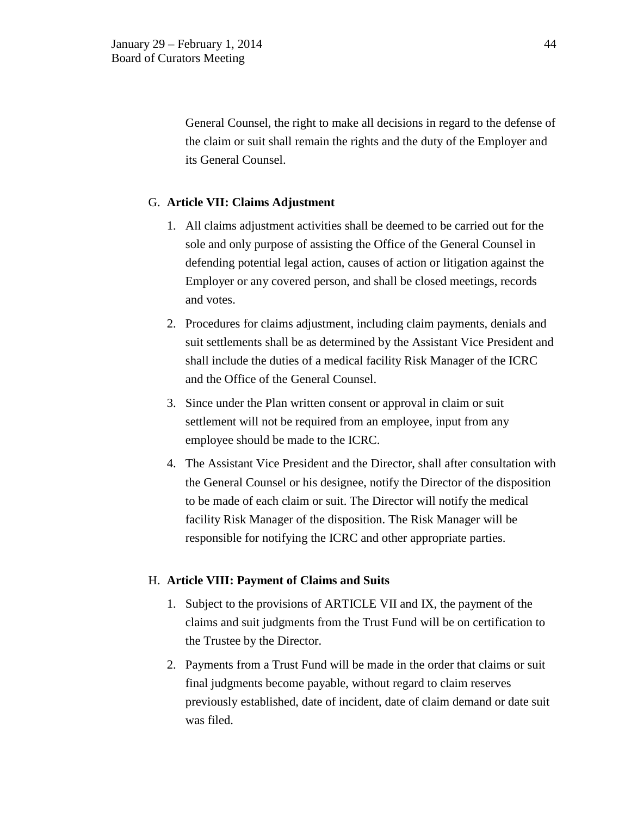General Counsel, the right to make all decisions in regard to the defense of the claim or suit shall remain the rights and the duty of the Employer and its General Counsel.

## G. **Article VII: Claims Adjustment**

- 1. All claims adjustment activities shall be deemed to be carried out for the sole and only purpose of assisting the Office of the General Counsel in defending potential legal action, causes of action or litigation against the Employer or any covered person, and shall be closed meetings, records and votes.
- 2. Procedures for claims adjustment, including claim payments, denials and suit settlements shall be as determined by the Assistant Vice President and shall include the duties of a medical facility Risk Manager of the ICRC and the Office of the General Counsel.
- 3. Since under the Plan written consent or approval in claim or suit settlement will not be required from an employee, input from any employee should be made to the ICRC.
- 4. The Assistant Vice President and the Director, shall after consultation with the General Counsel or his designee, notify the Director of the disposition to be made of each claim or suit. The Director will notify the medical facility Risk Manager of the disposition. The Risk Manager will be responsible for notifying the ICRC and other appropriate parties.

### H. **Article VIII: Payment of Claims and Suits**

- 1. Subject to the provisions of ARTICLE VII and IX, the payment of the claims and suit judgments from the Trust Fund will be on certification to the Trustee by the Director.
- 2. Payments from a Trust Fund will be made in the order that claims or suit final judgments become payable, without regard to claim reserves previously established, date of incident, date of claim demand or date suit was filed.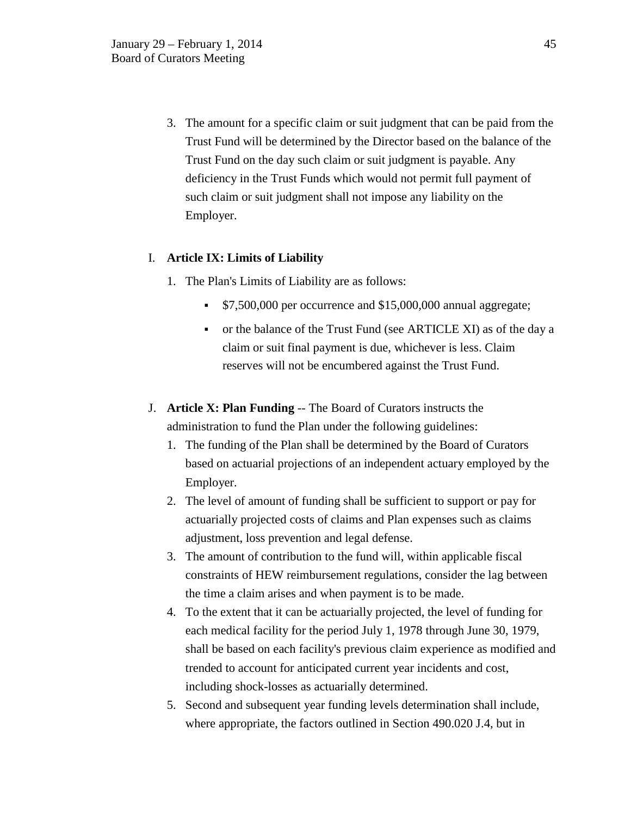3. The amount for a specific claim or suit judgment that can be paid from the Trust Fund will be determined by the Director based on the balance of the Trust Fund on the day such claim or suit judgment is payable. Any deficiency in the Trust Funds which would not permit full payment of such claim or suit judgment shall not impose any liability on the Employer.

## I. **Article IX: Limits of Liability**

- 1. The Plan's Limits of Liability are as follows:
	- \$7,500,000 per occurrence and \$15,000,000 annual aggregate;
	- or the balance of the Trust Fund (see ARTICLE XI) as of the day a claim or suit final payment is due, whichever is less. Claim reserves will not be encumbered against the Trust Fund.
- J. **Article X: Plan Funding** -- The Board of Curators instructs the administration to fund the Plan under the following guidelines:
	- 1. The funding of the Plan shall be determined by the Board of Curators based on actuarial projections of an independent actuary employed by the Employer.
	- 2. The level of amount of funding shall be sufficient to support or pay for actuarially projected costs of claims and Plan expenses such as claims adjustment, loss prevention and legal defense.
	- 3. The amount of contribution to the fund will, within applicable fiscal constraints of HEW reimbursement regulations, consider the lag between the time a claim arises and when payment is to be made.
	- 4. To the extent that it can be actuarially projected, the level of funding for each medical facility for the period July 1, 1978 through June 30, 1979, shall be based on each facility's previous claim experience as modified and trended to account for anticipated current year incidents and cost, including shock-losses as actuarially determined.
	- 5. Second and subsequent year funding levels determination shall include, where appropriate, the factors outlined in Section 490.020 J.4, but in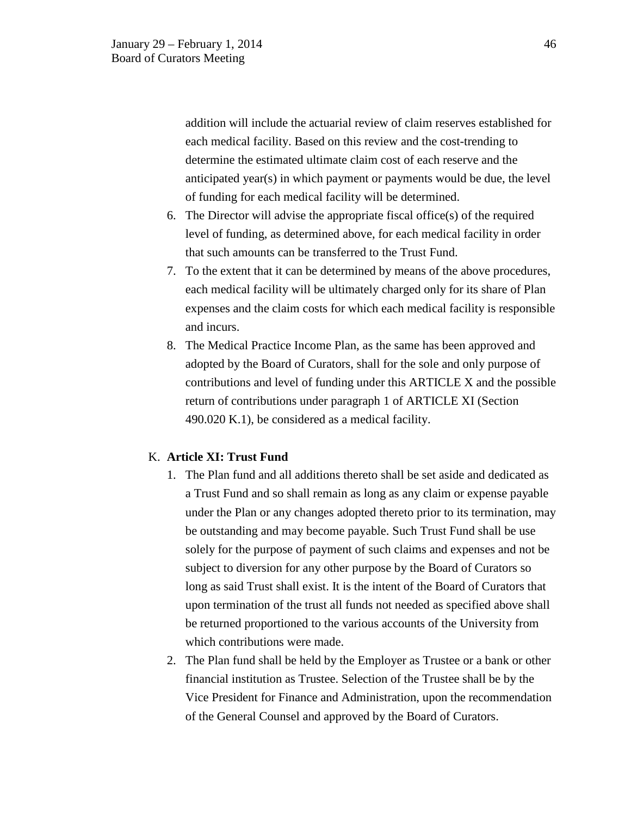addition will include the actuarial review of claim reserves established for each medical facility. Based on this review and the cost-trending to determine the estimated ultimate claim cost of each reserve and the anticipated year(s) in which payment or payments would be due, the level of funding for each medical facility will be determined.

- 6. The Director will advise the appropriate fiscal office(s) of the required level of funding, as determined above, for each medical facility in order that such amounts can be transferred to the Trust Fund.
- 7. To the extent that it can be determined by means of the above procedures, each medical facility will be ultimately charged only for its share of Plan expenses and the claim costs for which each medical facility is responsible and incurs.
- 8. The Medical Practice Income Plan, as the same has been approved and adopted by the Board of Curators, shall for the sole and only purpose of contributions and level of funding under this ARTICLE X and the possible return of contributions under paragraph 1 of ARTICLE XI (Section 490.020 K.1), be considered as a medical facility.

## K. **Article XI: Trust Fund**

- 1. The Plan fund and all additions thereto shall be set aside and dedicated as a Trust Fund and so shall remain as long as any claim or expense payable under the Plan or any changes adopted thereto prior to its termination, may be outstanding and may become payable. Such Trust Fund shall be use solely for the purpose of payment of such claims and expenses and not be subject to diversion for any other purpose by the Board of Curators so long as said Trust shall exist. It is the intent of the Board of Curators that upon termination of the trust all funds not needed as specified above shall be returned proportioned to the various accounts of the University from which contributions were made.
- 2. The Plan fund shall be held by the Employer as Trustee or a bank or other financial institution as Trustee. Selection of the Trustee shall be by the Vice President for Finance and Administration, upon the recommendation of the General Counsel and approved by the Board of Curators.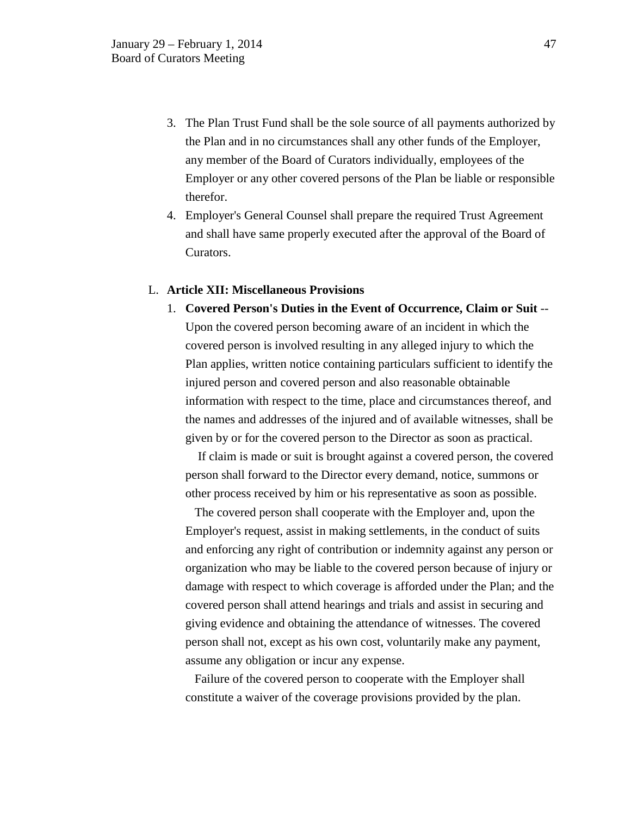- 3. The Plan Trust Fund shall be the sole source of all payments authorized by the Plan and in no circumstances shall any other funds of the Employer, any member of the Board of Curators individually, employees of the Employer or any other covered persons of the Plan be liable or responsible therefor.
- 4. Employer's General Counsel shall prepare the required Trust Agreement and shall have same properly executed after the approval of the Board of Curators.

## L. **Article XII: Miscellaneous Provisions**

1. **Covered Person's Duties in the Event of Occurrence, Claim or Suit** -- Upon the covered person becoming aware of an incident in which the covered person is involved resulting in any alleged injury to which the Plan applies, written notice containing particulars sufficient to identify the injured person and covered person and also reasonable obtainable information with respect to the time, place and circumstances thereof, and the names and addresses of the injured and of available witnesses, shall be given by or for the covered person to the Director as soon as practical.

 If claim is made or suit is brought against a covered person, the covered person shall forward to the Director every demand, notice, summons or other process received by him or his representative as soon as possible.

 The covered person shall cooperate with the Employer and, upon the Employer's request, assist in making settlements, in the conduct of suits and enforcing any right of contribution or indemnity against any person or organization who may be liable to the covered person because of injury or damage with respect to which coverage is afforded under the Plan; and the covered person shall attend hearings and trials and assist in securing and giving evidence and obtaining the attendance of witnesses. The covered person shall not, except as his own cost, voluntarily make any payment, assume any obligation or incur any expense.

 Failure of the covered person to cooperate with the Employer shall constitute a waiver of the coverage provisions provided by the plan.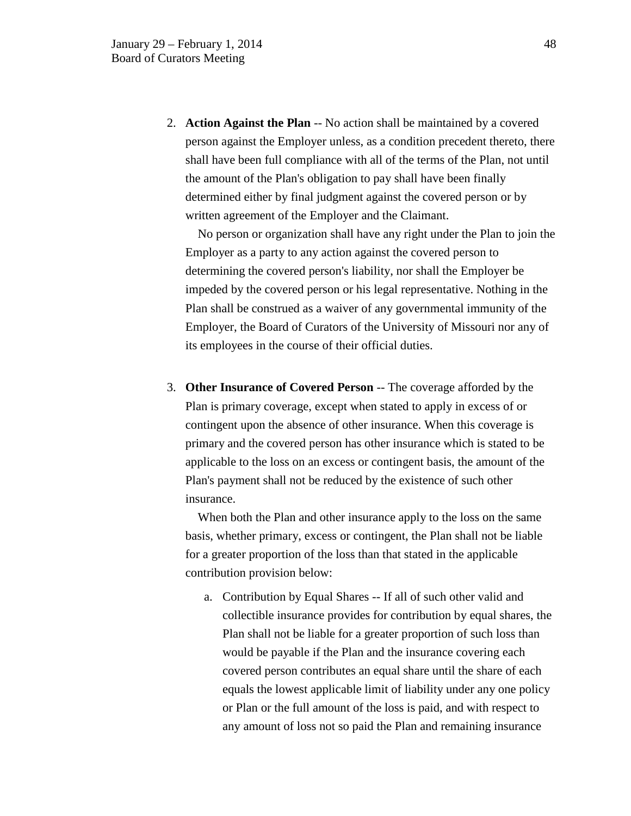2. **Action Against the Plan** -- No action shall be maintained by a covered person against the Employer unless, as a condition precedent thereto, there shall have been full compliance with all of the terms of the Plan, not until the amount of the Plan's obligation to pay shall have been finally determined either by final judgment against the covered person or by written agreement of the Employer and the Claimant.

 No person or organization shall have any right under the Plan to join the Employer as a party to any action against the covered person to determining the covered person's liability, nor shall the Employer be impeded by the covered person or his legal representative. Nothing in the Plan shall be construed as a waiver of any governmental immunity of the Employer, the Board of Curators of the University of Missouri nor any of its employees in the course of their official duties.

3. **Other Insurance of Covered Person** -- The coverage afforded by the Plan is primary coverage, except when stated to apply in excess of or contingent upon the absence of other insurance. When this coverage is primary and the covered person has other insurance which is stated to be applicable to the loss on an excess or contingent basis, the amount of the Plan's payment shall not be reduced by the existence of such other insurance.

 When both the Plan and other insurance apply to the loss on the same basis, whether primary, excess or contingent, the Plan shall not be liable for a greater proportion of the loss than that stated in the applicable contribution provision below:

a. Contribution by Equal Shares -- If all of such other valid and collectible insurance provides for contribution by equal shares, the Plan shall not be liable for a greater proportion of such loss than would be payable if the Plan and the insurance covering each covered person contributes an equal share until the share of each equals the lowest applicable limit of liability under any one policy or Plan or the full amount of the loss is paid, and with respect to any amount of loss not so paid the Plan and remaining insurance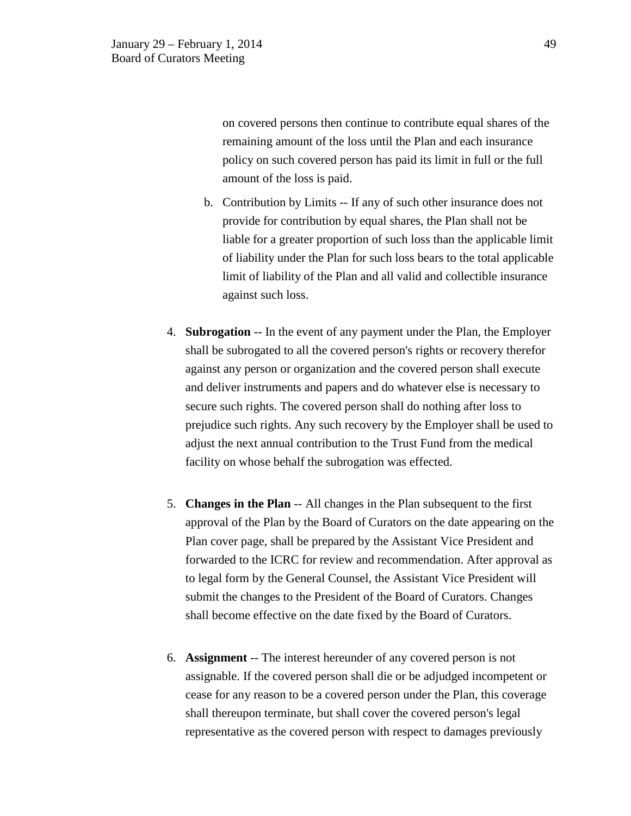on covered persons then continue to contribute equal shares of the remaining amount of the loss until the Plan and each insurance policy on such covered person has paid its limit in full or the full amount of the loss is paid.

- b. Contribution by Limits -- If any of such other insurance does not provide for contribution by equal shares, the Plan shall not be liable for a greater proportion of such loss than the applicable limit of liability under the Plan for such loss bears to the total applicable limit of liability of the Plan and all valid and collectible insurance against such loss.
- 4. **Subrogation** -- In the event of any payment under the Plan, the Employer shall be subrogated to all the covered person's rights or recovery therefor against any person or organization and the covered person shall execute and deliver instruments and papers and do whatever else is necessary to secure such rights. The covered person shall do nothing after loss to prejudice such rights. Any such recovery by the Employer shall be used to adjust the next annual contribution to the Trust Fund from the medical facility on whose behalf the subrogation was effected.
- 5. **Changes in the Plan** -- All changes in the Plan subsequent to the first approval of the Plan by the Board of Curators on the date appearing on the Plan cover page, shall be prepared by the Assistant Vice President and forwarded to the ICRC for review and recommendation. After approval as to legal form by the General Counsel, the Assistant Vice President will submit the changes to the President of the Board of Curators. Changes shall become effective on the date fixed by the Board of Curators.
- 6. **Assignment** -- The interest hereunder of any covered person is not assignable. If the covered person shall die or be adjudged incompetent or cease for any reason to be a covered person under the Plan, this coverage shall thereupon terminate, but shall cover the covered person's legal representative as the covered person with respect to damages previously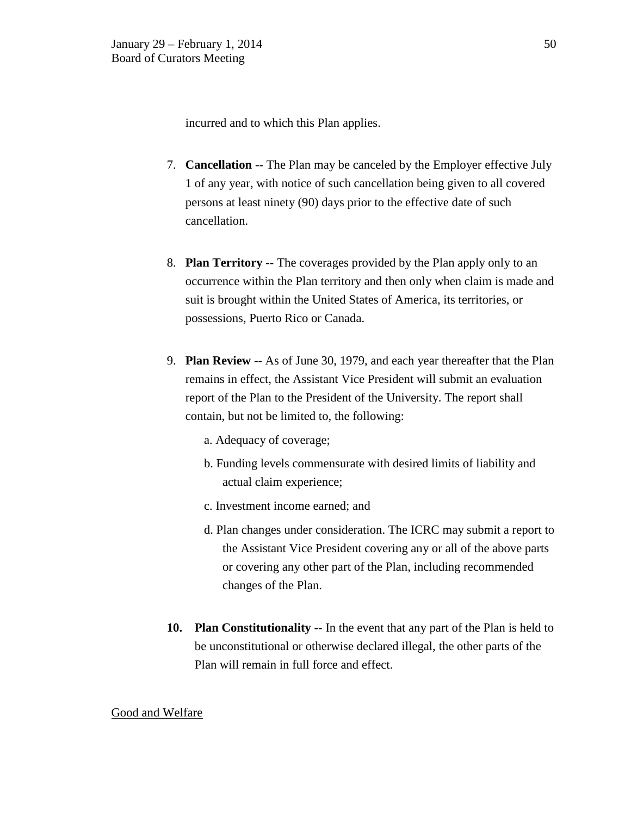incurred and to which this Plan applies.

- 7. **Cancellation** -- The Plan may be canceled by the Employer effective July 1 of any year, with notice of such cancellation being given to all covered persons at least ninety (90) days prior to the effective date of such cancellation.
- 8. **Plan Territory** -- The coverages provided by the Plan apply only to an occurrence within the Plan territory and then only when claim is made and suit is brought within the United States of America, its territories, or possessions, Puerto Rico or Canada.
- 9. **Plan Review** -- As of June 30, 1979, and each year thereafter that the Plan remains in effect, the Assistant Vice President will submit an evaluation report of the Plan to the President of the University. The report shall contain, but not be limited to, the following:
	- a. Adequacy of coverage;
	- b. Funding levels commensurate with desired limits of liability and actual claim experience;
	- c. Investment income earned; and
	- d. Plan changes under consideration. The ICRC may submit a report to the Assistant Vice President covering any or all of the above parts or covering any other part of the Plan, including recommended changes of the Plan.
- **10. Plan Constitutionality** -- In the event that any part of the Plan is held to be unconstitutional or otherwise declared illegal, the other parts of the Plan will remain in full force and effect.

## Good and Welfare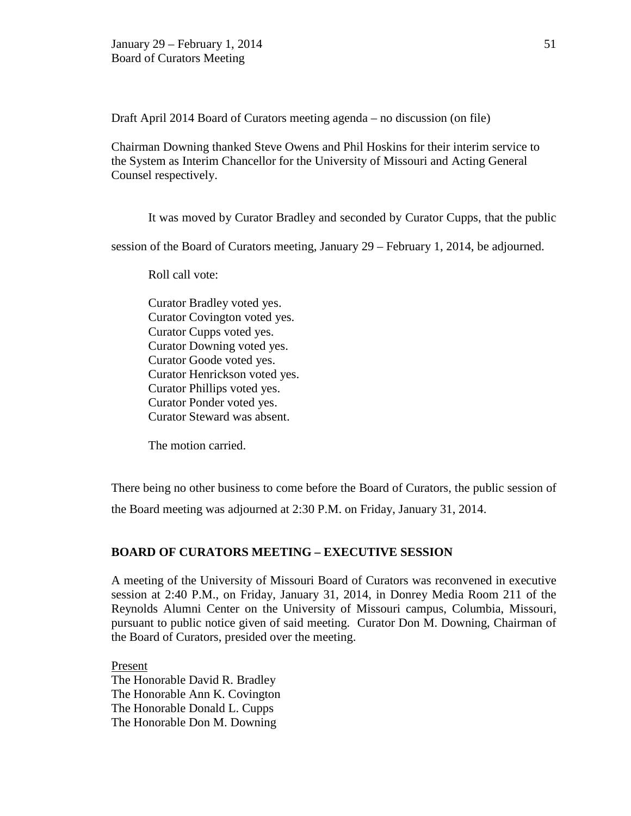Draft April 2014 Board of Curators meeting agenda – no discussion (on file)

Chairman Downing thanked Steve Owens and Phil Hoskins for their interim service to the System as Interim Chancellor for the University of Missouri and Acting General Counsel respectively.

It was moved by Curator Bradley and seconded by Curator Cupps, that the public

session of the Board of Curators meeting, January 29 – February 1, 2014, be adjourned.

Roll call vote:

Curator Bradley voted yes. Curator Covington voted yes. Curator Cupps voted yes. Curator Downing voted yes. Curator Goode voted yes. Curator Henrickson voted yes. Curator Phillips voted yes. Curator Ponder voted yes. Curator Steward was absent.

The motion carried.

There being no other business to come before the Board of Curators, the public session of the Board meeting was adjourned at 2:30 P.M. on Friday, January 31, 2014.

## **BOARD OF CURATORS MEETING – EXECUTIVE SESSION**

A meeting of the University of Missouri Board of Curators was reconvened in executive session at 2:40 P.M., on Friday, January 31, 2014, in Donrey Media Room 211 of the Reynolds Alumni Center on the University of Missouri campus, Columbia, Missouri, pursuant to public notice given of said meeting. Curator Don M. Downing, Chairman of the Board of Curators, presided over the meeting.

Present The Honorable David R. Bradley The Honorable Ann K. Covington The Honorable Donald L. Cupps The Honorable Don M. Downing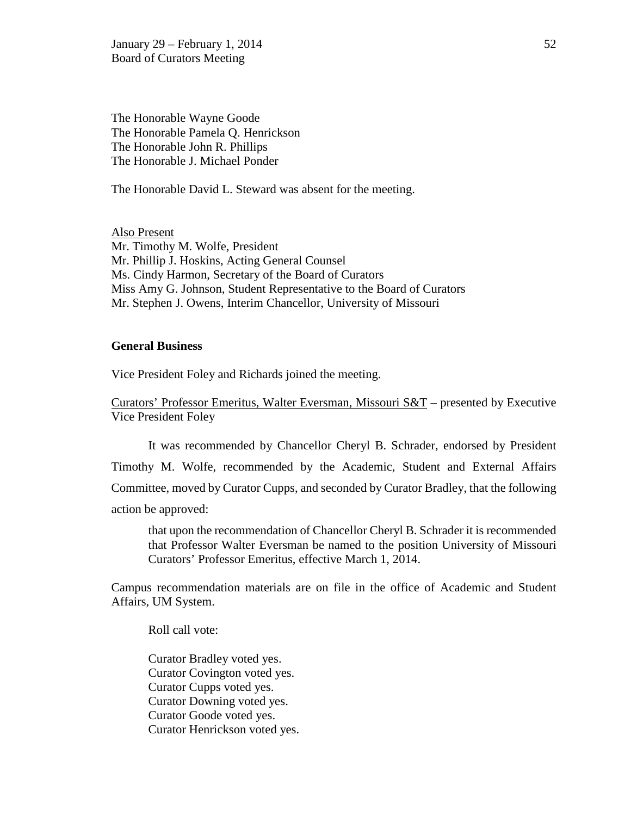The Honorable Wayne Goode The Honorable Pamela Q. Henrickson The Honorable John R. Phillips The Honorable J. Michael Ponder

The Honorable David L. Steward was absent for the meeting.

Also Present Mr. Timothy M. Wolfe, President Mr. Phillip J. Hoskins, Acting General Counsel Ms. Cindy Harmon, Secretary of the Board of Curators Miss Amy G. Johnson, Student Representative to the Board of Curators Mr. Stephen J. Owens, Interim Chancellor, University of Missouri

#### **General Business**

Vice President Foley and Richards joined the meeting.

Curators' Professor Emeritus, Walter Eversman, Missouri S&T – presented by Executive Vice President Foley

It was recommended by Chancellor Cheryl B. Schrader, endorsed by President Timothy M. Wolfe, recommended by the Academic, Student and External Affairs Committee, moved by Curator Cupps, and seconded by Curator Bradley, that the following action be approved:

that upon the recommendation of Chancellor Cheryl B. Schrader it is recommended that Professor Walter Eversman be named to the position University of Missouri Curators' Professor Emeritus, effective March 1, 2014.

Campus recommendation materials are on file in the office of Academic and Student Affairs, UM System.

Roll call vote:

Curator Bradley voted yes. Curator Covington voted yes. Curator Cupps voted yes. Curator Downing voted yes. Curator Goode voted yes. Curator Henrickson voted yes.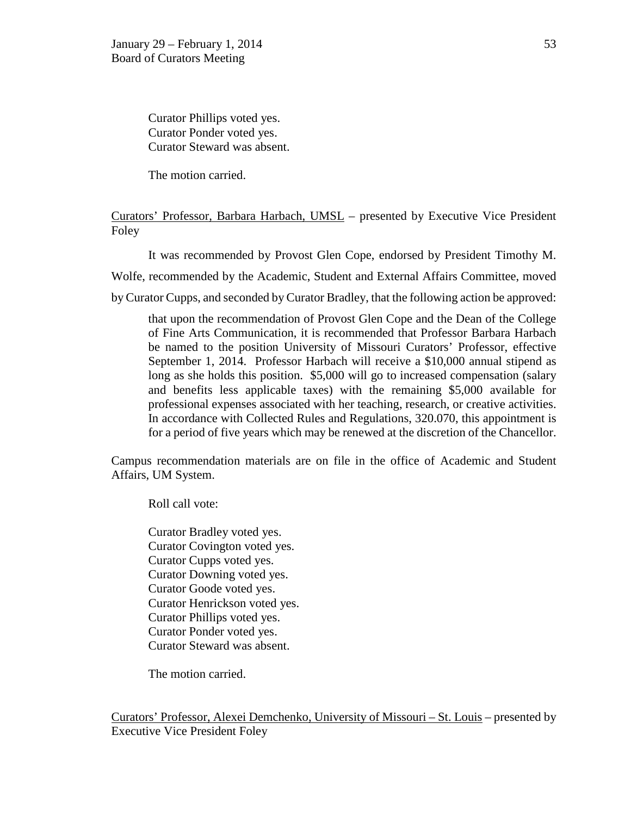Curator Phillips voted yes. Curator Ponder voted yes. Curator Steward was absent.

The motion carried.

## Curators' Professor, Barbara Harbach, UMSL – presented by Executive Vice President Foley

It was recommended by Provost Glen Cope, endorsed by President Timothy M. Wolfe, recommended by the Academic, Student and External Affairs Committee, moved

by Curator Cupps, and seconded by Curator Bradley, that the following action be approved:

that upon the recommendation of Provost Glen Cope and the Dean of the College of Fine Arts Communication, it is recommended that Professor Barbara Harbach be named to the position University of Missouri Curators' Professor, effective September 1, 2014. Professor Harbach will receive a \$10,000 annual stipend as long as she holds this position. \$5,000 will go to increased compensation (salary and benefits less applicable taxes) with the remaining \$5,000 available for professional expenses associated with her teaching, research, or creative activities. In accordance with Collected Rules and Regulations, 320.070, this appointment is for a period of five years which may be renewed at the discretion of the Chancellor.

Campus recommendation materials are on file in the office of Academic and Student Affairs, UM System.

Roll call vote:

Curator Bradley voted yes. Curator Covington voted yes. Curator Cupps voted yes. Curator Downing voted yes. Curator Goode voted yes. Curator Henrickson voted yes. Curator Phillips voted yes. Curator Ponder voted yes. Curator Steward was absent.

The motion carried.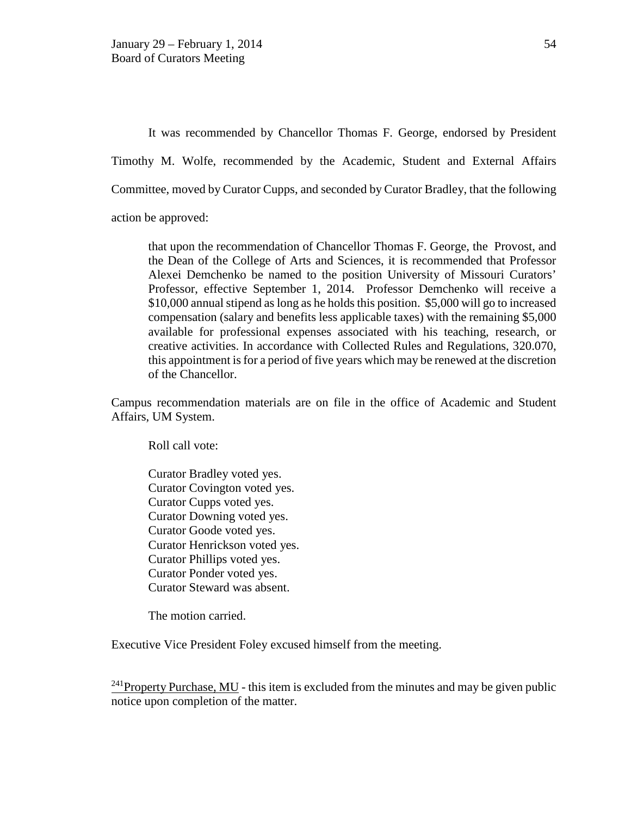It was recommended by Chancellor Thomas F. George, endorsed by President Timothy M. Wolfe, recommended by the Academic, Student and External Affairs Committee, moved by Curator Cupps, and seconded by Curator Bradley, that the following action be approved:

that upon the recommendation of Chancellor Thomas F. George, the Provost, and the Dean of the College of Arts and Sciences, it is recommended that Professor Alexei Demchenko be named to the position University of Missouri Curators' Professor, effective September 1, 2014. Professor Demchenko will receive a \$10,000 annual stipend as long as he holds this position. \$5,000 will go to increased compensation (salary and benefits less applicable taxes) with the remaining \$5,000 available for professional expenses associated with his teaching, research, or creative activities. In accordance with Collected Rules and Regulations, 320.070, this appointment is for a period of five years which may be renewed at the discretion of the Chancellor.

Campus recommendation materials are on file in the office of Academic and Student Affairs, UM System.

Roll call vote:

Curator Bradley voted yes. Curator Covington voted yes. Curator Cupps voted yes. Curator Downing voted yes. Curator Goode voted yes. Curator Henrickson voted yes. Curator Phillips voted yes. Curator Ponder voted yes. Curator Steward was absent.

The motion carried.

Executive Vice President Foley excused himself from the meeting.

 $^{241}$ Property Purchase, MU - this item is excluded from the minutes and may be given public notice upon completion of the matter.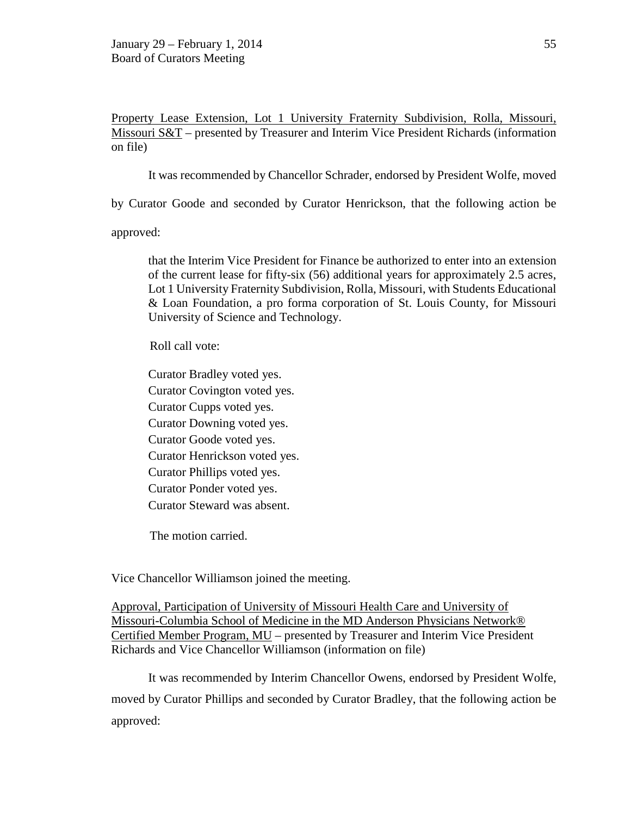Property Lease Extension, Lot 1 University Fraternity Subdivision, Rolla, Missouri, Missouri S&T – presented by Treasurer and Interim Vice President Richards (information on file)

It was recommended by Chancellor Schrader, endorsed by President Wolfe, moved

by Curator Goode and seconded by Curator Henrickson, that the following action be

approved:

that the Interim Vice President for Finance be authorized to enter into an extension of the current lease for fifty-six (56) additional years for approximately 2.5 acres, Lot 1 University Fraternity Subdivision, Rolla, Missouri, with Students Educational & Loan Foundation, a pro forma corporation of St. Louis County, for Missouri University of Science and Technology.

Roll call vote:

Curator Bradley voted yes. Curator Covington voted yes. Curator Cupps voted yes. Curator Downing voted yes. Curator Goode voted yes. Curator Henrickson voted yes. Curator Phillips voted yes. Curator Ponder voted yes. Curator Steward was absent.

The motion carried.

Vice Chancellor Williamson joined the meeting.

Approval, Participation of University of Missouri Health Care and University of Missouri-Columbia School of Medicine in the MD Anderson Physicians Network® Certified Member Program, MU – presented by Treasurer and Interim Vice President Richards and Vice Chancellor Williamson (information on file)

It was recommended by Interim Chancellor Owens, endorsed by President Wolfe, moved by Curator Phillips and seconded by Curator Bradley, that the following action be approved: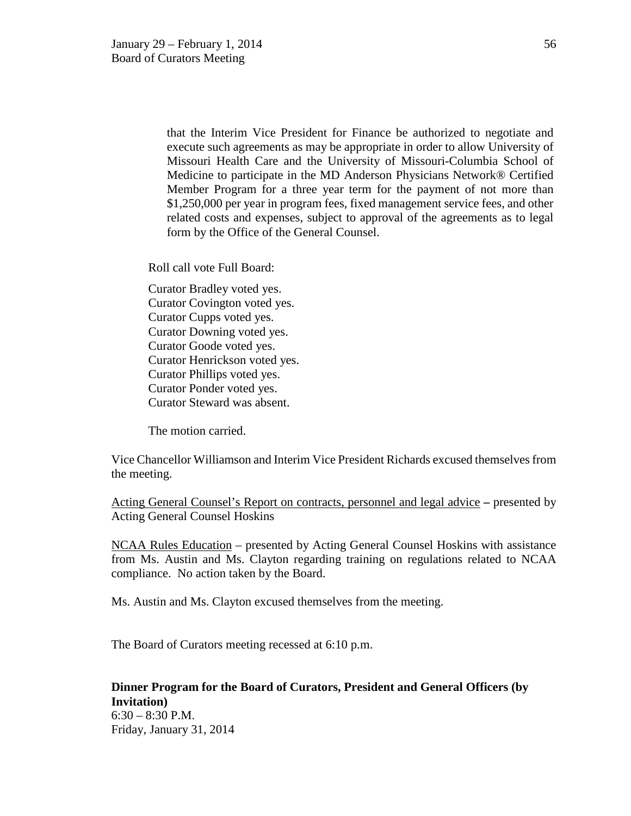that the Interim Vice President for Finance be authorized to negotiate and execute such agreements as may be appropriate in order to allow University of Missouri Health Care and the University of Missouri-Columbia School of Medicine to participate in the MD Anderson Physicians Network® Certified Member Program for a three year term for the payment of not more than \$1,250,000 per year in program fees, fixed management service fees, and other related costs and expenses, subject to approval of the agreements as to legal form by the Office of the General Counsel.

Roll call vote Full Board:

Curator Bradley voted yes. Curator Covington voted yes. Curator Cupps voted yes. Curator Downing voted yes. Curator Goode voted yes. Curator Henrickson voted yes. Curator Phillips voted yes. Curator Ponder voted yes. Curator Steward was absent.

The motion carried.

Vice Chancellor Williamson and Interim Vice President Richards excused themselves from the meeting.

Acting General Counsel's Report on contracts, personnel and legal advice **–** presented by Acting General Counsel Hoskins

NCAA Rules Education – presented by Acting General Counsel Hoskins with assistance from Ms. Austin and Ms. Clayton regarding training on regulations related to NCAA compliance. No action taken by the Board.

Ms. Austin and Ms. Clayton excused themselves from the meeting.

The Board of Curators meeting recessed at 6:10 p.m.

# **Dinner Program for the Board of Curators, President and General Officers (by Invitation)**  $6:30 - 8:30$  P.M.

Friday, January 31, 2014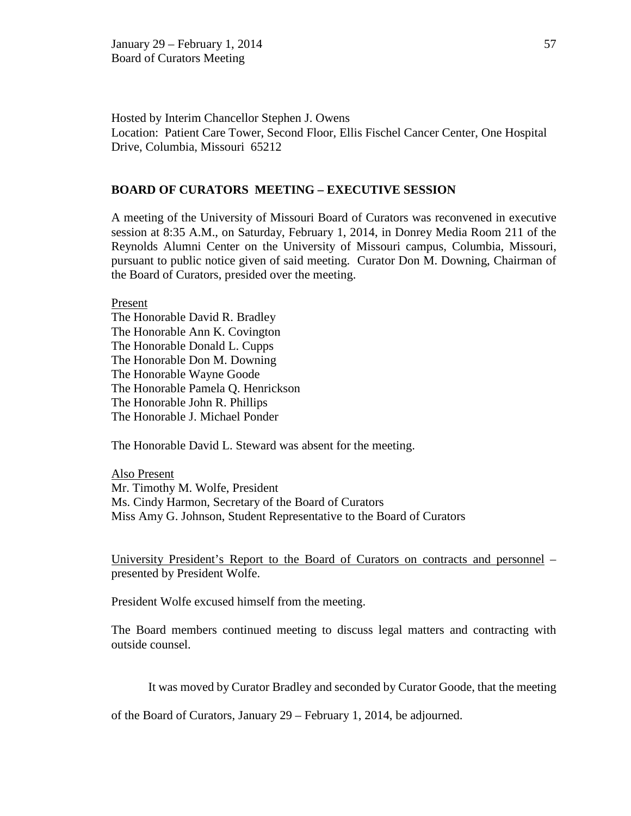Hosted by Interim Chancellor Stephen J. Owens Location: Patient Care Tower, Second Floor, Ellis Fischel Cancer Center, One Hospital Drive, Columbia, Missouri 65212

## **BOARD OF CURATORS MEETING – EXECUTIVE SESSION**

A meeting of the University of Missouri Board of Curators was reconvened in executive session at 8:35 A.M., on Saturday, February 1, 2014, in Donrey Media Room 211 of the Reynolds Alumni Center on the University of Missouri campus, Columbia, Missouri, pursuant to public notice given of said meeting. Curator Don M. Downing, Chairman of the Board of Curators, presided over the meeting.

Present

The Honorable David R. Bradley The Honorable Ann K. Covington The Honorable Donald L. Cupps The Honorable Don M. Downing The Honorable Wayne Goode The Honorable Pamela Q. Henrickson The Honorable John R. Phillips The Honorable J. Michael Ponder

The Honorable David L. Steward was absent for the meeting.

Also Present Mr. Timothy M. Wolfe, President Ms. Cindy Harmon, Secretary of the Board of Curators Miss Amy G. Johnson, Student Representative to the Board of Curators

University President's Report to the Board of Curators on contracts and personnel – presented by President Wolfe.

President Wolfe excused himself from the meeting.

The Board members continued meeting to discuss legal matters and contracting with outside counsel.

It was moved by Curator Bradley and seconded by Curator Goode, that the meeting

of the Board of Curators, January 29 – February 1, 2014, be adjourned.